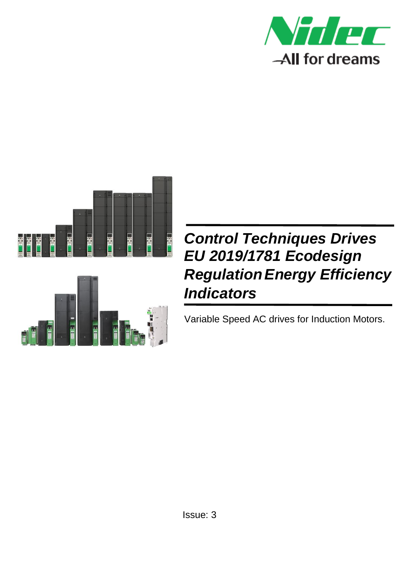



# *Control Techniques Drives EU 2019/1781 Ecodesign RegulationEnergy Efficiency Indicators*

Variable Speed AC drives for Induction Motors.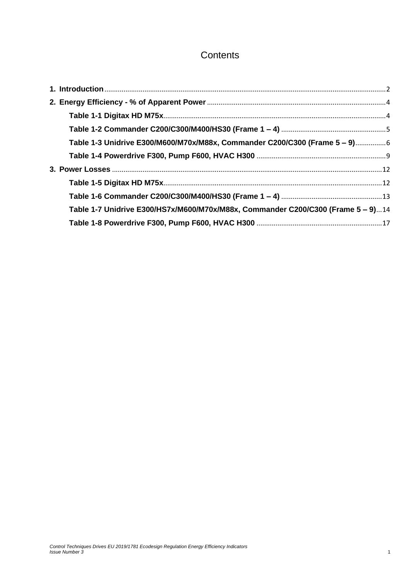## **Contents**

| Table 1-3 Unidrive E300/M600/M70x/M88x, Commander C200/C300 (Frame 5 - 9)6       |  |
|----------------------------------------------------------------------------------|--|
|                                                                                  |  |
|                                                                                  |  |
|                                                                                  |  |
|                                                                                  |  |
| Table 1-7 Unidrive E300/HS7x/M600/M70x/M88x, Commander C200/C300 (Frame 5 - 9)14 |  |
|                                                                                  |  |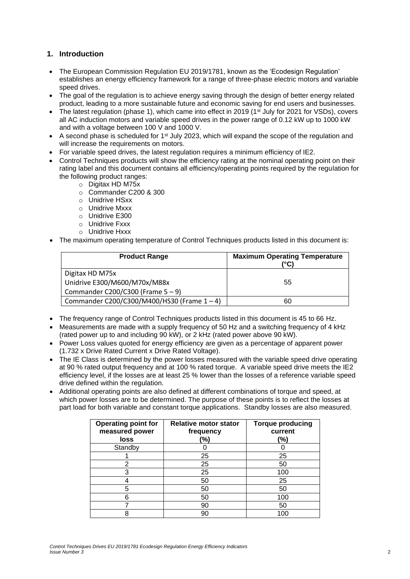#### <span id="page-2-0"></span>**1. Introduction**

- The European Commission Regulation EU 2019/1781, known as the 'Ecodesign Regulation' establishes an energy efficiency framework for a range of three-phase electric motors and variable speed drives.
- The goal of the regulation is to achieve energy saving through the design of better energy related product, leading to a more sustainable future and economic saving for end users and businesses.
- The latest regulation (phase 1), which came into effect in 2019 (1<sup>st</sup> July for 2021 for VSDs), covers all AC induction motors and variable speed drives in the power range of 0.12 kW up to 1000 kW and with a voltage between 100 V and 1000 V.
- A second phase is scheduled for 1<sup>st</sup> July 2023, which will expand the scope of the regulation and will increase the requirements on motors.
- For variable speed drives, the latest regulation requires a minimum efficiency of IE2.
- Control Techniques products will show the efficiency rating at the nominal operating point on their rating label and this document contains all efficiency/operating points required by the regulation for the following product ranges:
	- o Digitax HD M75x
	- o Commander C200 & 300
	- o Unidrive HSxx
	- o Unidrive Mxxx
	- o Unidrive E300
	- o Unidrive Fxxx
	- o Unidrive Hxxx
- The maximum operating temperature of Control Techniques products listed in this document is:

| <b>Product Range</b>                           | <b>Maximum Operating Temperature</b><br>(°C) |
|------------------------------------------------|----------------------------------------------|
| Digitax HD M75x                                |                                              |
| Unidrive E300/M600/M70x/M88x                   | 55                                           |
| Commander C200/C300 (Frame $5 - 9$ )           |                                              |
| Commander C200/C300/M400/HS30 (Frame $1 - 4$ ) | 60                                           |

- The frequency range of Control Techniques products listed in this document is 45 to 66 Hz.
- Measurements are made with a supply frequency of 50 Hz and a switching frequency of 4 kHz (rated power up to and including 90 kW), or 2 kHz (rated power above 90 kW).
- Power Loss values quoted for energy efficiency are given as a percentage of apparent power (1.732 x Drive Rated Current x Drive Rated Voltage).
- The IE Class is determined by the power losses measured with the variable speed drive operating at 90 % rated output frequency and at 100 % rated torque. A variable speed drive meets the IE2 efficiency level, if the losses are at least 25 % lower than the losses of a reference variable speed drive defined within the regulation.
- Additional operating points are also defined at different combinations of torque and speed, at which power losses are to be determined. The purpose of these points is to reflect the losses at part load for both variable and constant torque applications. Standby losses are also measured.

| <b>Operating point for</b><br>measured power | <b>Relative motor stator</b><br>frequency | <b>Torque producing</b><br>current |
|----------------------------------------------|-------------------------------------------|------------------------------------|
| loss                                         | (%)                                       | (%)                                |
| Standby                                      |                                           |                                    |
|                                              | 25                                        | 25                                 |
| 2                                            | 25                                        | 50                                 |
| 3                                            | 25                                        | 100                                |
|                                              | 50                                        | 25                                 |
| 5                                            | 50                                        | 50                                 |
| 6                                            | 50                                        | 100                                |
|                                              | 90                                        | 50                                 |
|                                              | 90                                        | 10C                                |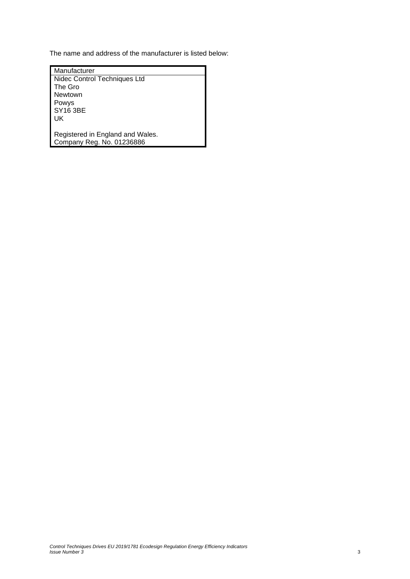The name and address of the manufacturer is listed below:

| Manufacturer                     |
|----------------------------------|
| Nidec Control Techniques Ltd     |
| The Gro                          |
| Newtown                          |
| Powys                            |
| <b>SY16 3BE</b>                  |
| UK                               |
|                                  |
| Registered in England and Wales. |
| Company Reg. No. 01236886        |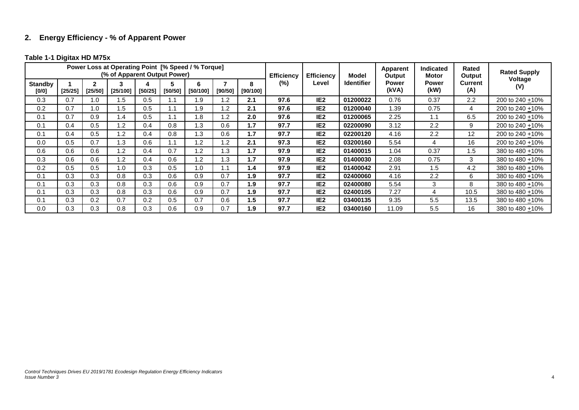## **2. Energy Efficiency - % of Apparent Power**

#### **Table 1-1 Digitax HD M75x**

<span id="page-4-1"></span><span id="page-4-0"></span>

|                         |         |                         | (% of Apparent Output Power) |         |              | Power Loss at Operating Point [% Speed / % Torque] |                |               | <b>Efficiency</b> | <b>Efficiency</b> | Model             | Apparent<br>Output | <b>Indicated</b><br>Motor | Rated<br>Output       | <b>Rated Supply</b> |
|-------------------------|---------|-------------------------|------------------------------|---------|--------------|----------------------------------------------------|----------------|---------------|-------------------|-------------------|-------------------|--------------------|---------------------------|-----------------------|---------------------|
| <b>Standby</b><br>[0/0] | [25/25] | $\mathbf{2}$<br>[25/50] | [25/100]                     | [50/25] | 5<br>[50/50] | 6<br>[50/100]                                      | [90/50]        | 8<br>[90/100] | $(\%)$            | Level             | <b>Identifier</b> | Power<br>(kVA)     | <b>Power</b><br>(kW)      | <b>Current</b><br>(A) | Voltage<br>(V)      |
| 0.3                     | 0.7     | 0. ا                    | 1.5                          | 0.5     | ۱.1          | 1.9                                                | 1.2            | 2.1           | 97.6              | IE <sub>2</sub>   | 01200022          | 0.76               | 0.37                      | 2.2                   | 200 to 240 +10%     |
| 0.2                     | 0.7     | 0. ا                    | 1.5                          | 0.5     | ۱.1          | 1.9                                                | $\overline{2}$ | 2.1           | 97.6              | IE <sub>2</sub>   | 01200040          | 1.39               | 0.75                      | 4                     | 200 to 240 +10%     |
| 0.1                     | 0.7     | 0.9                     | 1.4                          | 0.5     | 1.1          | 1.8                                                | 1.2            | 2.0           | 97.6              | IE <sub>2</sub>   | 01200065          | 2.25               | 1.1                       | 6.5                   | 200 to 240 +10%     |
| 0.1                     | 0.4     | 0.5                     | 1.2                          | 0.4     | 0.8          | 1.3                                                | 0.6            | 1.7           | 97.7              | IE <sub>2</sub>   | 02200090          | 3.12               | 2.2                       | 9                     | 200 to 240 +10%     |
| 0.1                     | 0.4     | 0.5                     | 1.2                          | 0.4     | 0.8          | 1.3                                                | 0.6            | 1.7           | 97.7              | IE <sub>2</sub>   | 02200120          | 4.16               | 2.2                       | 12                    | 200 to 240 +10%     |
| 0.0                     | 0.5     | 0.7                     | 1.3                          | 0.6     | $\mathsf{L}$ | 1.2                                                | 1.2            | 2.1           | 97.3              | IE <sub>2</sub>   | 03200160          | 5.54               | 4                         | 16                    | 200 to 240 +10%     |
| 0.6                     | 0.6     | 0.6                     | 1.2                          | 0.4     | 0.7          | 1.2                                                | 1.3            | 1.7           | 97.9              | IE <sub>2</sub>   | 01400015          | 1.04               | 0.37                      | 1.5                   | 380 to 480 +10%     |
| 0.3                     | 0.6     | 0.6                     | 1.2                          | 0.4     | 0.6          | 1.2                                                | 1.3            | 1.7           | 97.9              | IE <sub>2</sub>   | 01400030          | 2.08               | 0.75                      | 3                     | 380 to 480 +10%     |
| 0.2                     | 0.5     | 0.5                     | 1.0                          | 0.3     | 0.5          | 1.0                                                | 1.1            | 1.4           | 97.9              | IE <sub>2</sub>   | 01400042          | 2.91               | 1.5                       | 4.2                   | 380 to 480 + 10%    |
| 0.1                     | 0.3     | 0.3                     | 0.8                          | 0.3     | 0.6          | 0.9                                                | 0.7            | 1.9           | 97.7              | IE <sub>2</sub>   | 02400060          | 4.16               | 2.2                       | 6                     | 380 to 480 +10%     |
| 0.1                     | 0.3     | 0.3                     | 0.8                          | 0.3     | 0.6          | 0.9                                                | 0.7            | 1.9           | 97.7              | IE <sub>2</sub>   | 02400080          | 5.54               | 3                         | 8                     | 380 to 480 + 10%    |
| 0.1                     | 0.3     | 0.3                     | 0.8                          | 0.3     | 0.6          | 0.9                                                | 0.7            | 1.9           | 97.7              | IE <sub>2</sub>   | 02400105          | 7.27               | 4                         | 10.5                  | 380 to 480 +10%     |
| 0.1                     | 0.3     | 0.2                     | 0.7                          | 0.2     | 0.5          | 0.7                                                | 0.6            | 1.5           | 97.7              | IE <sub>2</sub>   | 03400135          | 9.35               | 5.5                       | 13.5                  | 380 to 480 +10%     |
| 0.0                     | 0.3     | 0.3                     | 0.8                          | 0.3     | 0.6          | 0.9                                                | 0.7            | 1.9           | 97.7              | IE <sub>2</sub>   | 03400160          | 11.09              | 5.5                       | 16                    | 380 to 480 +10%     |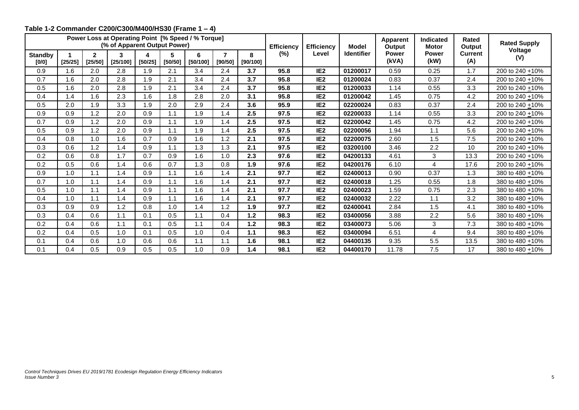<span id="page-5-0"></span>

|                         |         |                         | Power Loss at Operating Point [% Speed / % Torque]<br>(% of Apparent Output Power) |         |              |               |              |               | <b>Efficiency</b> | <b>Efficiency</b> | <b>Model</b>      | Apparent<br>Output    | <b>Indicated</b><br><b>Motor</b> | <b>Rated</b><br>Output | <b>Rated Supply</b> |
|-------------------------|---------|-------------------------|------------------------------------------------------------------------------------|---------|--------------|---------------|--------------|---------------|-------------------|-------------------|-------------------|-----------------------|----------------------------------|------------------------|---------------------|
| <b>Standby</b><br>[0/0] | [25/25] | $\mathbf{2}$<br>[25/50] | 3<br>[25/100]                                                                      | [50/25] | 5<br>[50/50] | 6<br>[50/100] | 7<br>[90/50] | 8<br>[90/100] | $(\%)$            | Level             | <b>Identifier</b> | <b>Power</b><br>(kVA) | <b>Power</b><br>(kW)             | <b>Current</b><br>(A)  | Voltage<br>(V)      |
| 0.9                     | 1.6     | 2.0                     | 2.8                                                                                | 1.9     | 2.1          | 3.4           | 2.4          | 3.7           | 95.8              | IE <sub>2</sub>   | 01200017          | 0.59                  | 0.25                             | 1.7                    | 200 to 240 +10%     |
| 0.7                     | 1.6     | 2.0                     | 2.8                                                                                | 1.9     | 2.1          | 3.4           | 2.4          | 3.7           | 95.8              | IE <sub>2</sub>   | 01200024          | 0.83                  | 0.37                             | 2.4                    | 200 to 240 +10%     |
| 0.5                     | 1.6     | 2.0                     | 2.8                                                                                | 1.9     | 2.1          | 3.4           | 2.4          | 3.7           | 95.8              | IE <sub>2</sub>   | 01200033          | 1.14                  | 0.55                             | 3.3                    | 200 to 240 + 10%    |
| 0.4                     | 1.4     | 1.6                     | 2.3                                                                                | 1.6     | 1.8          | 2.8           | 2.0          | 3.1           | 95.8              | IE <sub>2</sub>   | 01200042          | 1.45                  | 0.75                             | 4.2                    | 200 to 240 +10%     |
| 0.5                     | 2.0     | 1.9                     | 3.3                                                                                | 1.9     | 2.0          | 2.9           | 2.4          | 3.6           | 95.9              | IE <sub>2</sub>   | 02200024          | 0.83                  | 0.37                             | 2.4                    | 200 to 240 + 10%    |
| 0.9                     | 0.9     | 1.2                     | 2.0                                                                                | 0.9     | 1.1          | 1.9           | 1.4          | 2.5           | 97.5              | IE <sub>2</sub>   | 02200033          | 1.14                  | 0.55                             | 3.3                    | 200 to 240 +10%     |
| 0.7                     | 0.9     | 1.2                     | 2.0                                                                                | 0.9     | 1.1          | 1.9           | 1.4          | 2.5           | 97.5              | IE <sub>2</sub>   | 02200042          | 1.45                  | 0.75                             | 4.2                    | 200 to 240 + 10%    |
| 0.5                     | 0.9     | 1.2                     | 2.0                                                                                | 0.9     | 1.1          | 1.9           | 1.4          | 2.5           | 97.5              | IE <sub>2</sub>   | 02200056          | 1.94                  | 1.1                              | 5.6                    | 200 to 240 + 10%    |
| 0.4                     | 0.8     | 1.0                     | 1.6                                                                                | 0.7     | 0.9          | 1.6           | 1.2          | 2.1           | 97.5              | IE <sub>2</sub>   | 02200075          | 2.60                  | 1.5                              | 7.5                    | 200 to 240 + 10%    |
| 0.3                     | 0.6     | 1.2                     | 1.4                                                                                | 0.9     | 1.1          | 1.3           | 1.3          | 2.1           | 97.5              | IE <sub>2</sub>   | 03200100          | 3.46                  | 2.2                              | 10                     | 200 to 240 +10%     |
| 0.2                     | 0.6     | 0.8                     | 1.7                                                                                | 0.7     | 0.9          | 1.6           | 1.0          | 2.3           | 97.6              | IE <sub>2</sub>   | 04200133          | 4.61                  | 3                                | 13.3                   | 200 to 240 +10%     |
| 0.2                     | 0.5     | 0.6                     | 1.4                                                                                | 0.6     | 0.7          | 1.3           | 0.8          | 1.9           | 97.6              | IE <sub>2</sub>   | 04200176          | 6.10                  | 4                                | 17.6                   | 200 to 240 + 10%    |
| 0.9                     | 1.0     | 1.1                     | 1.4                                                                                | 0.9     | 1.1          | 1.6           | 1.4          | 2.1           | 97.7              | IE <sub>2</sub>   | 02400013          | 0.90                  | 0.37                             | 1.3                    | 380 to 480 + 10%    |
| 0.7                     | 1.0     | 1.1                     | 1.4                                                                                | 0.9     | 1.1          | 1.6           | 1.4          | 2.1           | 97.7              | IE <sub>2</sub>   | 02400018          | 1.25                  | 0.55                             | 1.8                    | 380 to 480 + 10%    |
| 0.5                     | 1.0     | 1.1                     | 1.4                                                                                | 0.9     | 1.1          | 1.6           | 1.4          | 2.1           | 97.7              | IE <sub>2</sub>   | 02400023          | 1.59                  | 0.75                             | 2.3                    | 380 to 480 +10%     |
| 0.4                     | 1.0     | 1.1                     | 1.4                                                                                | 0.9     | 1.1          | 1.6           | 1.4          | 2.1           | 97.7              | IE <sub>2</sub>   | 02400032          | 2.22                  | 1.1                              | 3.2                    | 380 to 480 +10%     |
| 0.3                     | 0.9     | 0.9                     | 1.2                                                                                | 0.8     | 1.0          | 1.4           | 1.2          | 1.9           | 97.7              | IE <sub>2</sub>   | 02400041          | 2.84                  | 1.5                              | 4.1                    | 380 to 480 +10%     |
| 0.3                     | 0.4     | 0.6                     | 1.1                                                                                | 0.1     | 0.5          | 1.1           | 0.4          | 1.2           | 98.3              | IE <sub>2</sub>   | 03400056          | 3.88                  | 2.2                              | 5.6                    | 380 to 480 +10%     |
| 0.2                     | 0.4     | 0.6                     | 1.1                                                                                | 0.1     | 0.5          | 1.1           | 0.4          | 1.2           | 98.3              | IE <sub>2</sub>   | 03400073          | 5.06                  | 3                                | 7.3                    | 380 to 480 +10%     |
| 0.2                     | 0.4     | 0.5                     | 1.0                                                                                | 0.1     | 0.5          | 1.0           | 0.4          | 1.1           | 98.3              | IE <sub>2</sub>   | 03400094          | 6.51                  | 4                                | 9.4                    | 380 to 480 +10%     |
| 0.1                     | 0.4     | 0.6                     | 1.0                                                                                | 0.6     | 0.6          | 1.1           | 1.1          | 1.6           | 98.1              | IE <sub>2</sub>   | 04400135          | 9.35                  | 5.5                              | 13.5                   | 380 to 480 +10%     |
| 0.1                     | 0.4     | 0.5                     | 0.9                                                                                | 0.5     | 0.5          | 1.0           | 0.9          | 1.4           | 98.1              | IE <sub>2</sub>   | 04400170          | 11.78                 | 7.5                              | 17                     | 380 to 480 +10%     |

### **Table 1-2 Commander C200/C300/M400/HS30 (Frame 1 – 4)**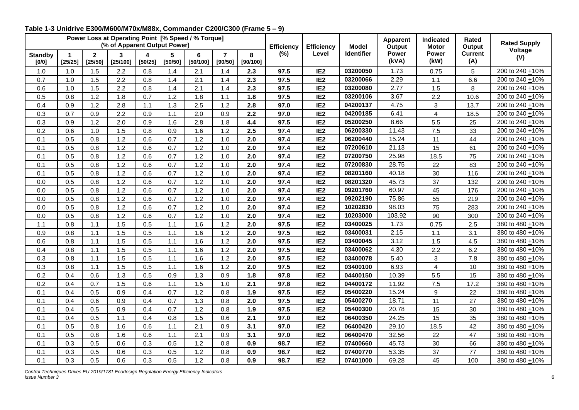<span id="page-6-0"></span>

|                         |                                 |                           | Power Loss at Operating Point [% Speed / % Torque]<br>(% of Apparent Output Power) |              |              |               |                           |               | <b>Efficiency</b> | <b>Efficiency</b> | <b>Model</b>      | <b>Apparent</b><br>Output | <b>Indicated</b><br><b>Motor</b> | <b>Rated</b><br>Output | <b>Rated Supply</b>  |
|-------------------------|---------------------------------|---------------------------|------------------------------------------------------------------------------------|--------------|--------------|---------------|---------------------------|---------------|-------------------|-------------------|-------------------|---------------------------|----------------------------------|------------------------|----------------------|
| <b>Standby</b><br>[0/0] | $\blacktriangleleft$<br>[25/25] | $\overline{2}$<br>[25/50] | $\overline{3}$<br>[25/100]                                                         | 4<br>[50/25] | 5<br>[50/50] | 6<br>[50/100] | $\overline{7}$<br>[90/50] | 8<br>[90/100] | (%)               | Level             | <b>Identifier</b> | <b>Power</b><br>(kVA)     | <b>Power</b><br>(kW)             | <b>Current</b><br>(A)  | Voltage<br>(V)       |
| 1.0                     | 1.0                             | 1.5                       | 2.2                                                                                | 0.8          | 1.4          | 2.1           | 1.4                       | 2.3           | 97.5              | IE <sub>2</sub>   | 03200050          | 1.73                      | 0.75                             | 5                      | 200 to 240 +10%      |
| 0.7                     | 1.0                             | 1.5                       | 2.2                                                                                | 0.8          | 1.4          | 2.1           | 1.4                       | 2.3           | 97.5              | IE <sub>2</sub>   | 03200066          | 2.29                      | 1.1                              | 6.6                    | 200 to 240 $\pm$ 10% |
| 0.6                     | 1.0                             | 1.5                       | 2.2                                                                                | 0.8          | 1.4          | 2.1           | 1.4                       | 2.3           | 97.5              | IE <sub>2</sub>   | 03200080          | 2.77                      | 1.5                              | 8                      | 200 to 240 + 10%     |
| 0.5                     | 0.8                             | $1.2$                     | 1.8                                                                                | 0.7          | 1.2          | 1.8           | 1.1                       | 1.8           | 97.5              | IE <sub>2</sub>   | 03200106          | 3.67                      | 2.2                              | 10.6                   | 200 to 240 +10%      |
| 0.4                     | 0.9                             | 1.2                       | 2.8                                                                                | 1.1          | 1.3          | 2.5           | 1.2                       | 2.8           | 97.0              | IE <sub>2</sub>   | 04200137          | 4.75                      | 3                                | 13.7                   | 200 to 240 +10%      |
| 0.3                     | 0.7                             | 0.9                       | 2.2                                                                                | 0.9          | 1.1          | 2.0           | 0.9                       | 2.2           | 97.0              | IE <sub>2</sub>   | 04200185          | 6.41                      | $\overline{4}$                   | 18.5                   | 200 to 240 +10%      |
| 0.3                     | 0.9                             | 1.2                       | 2.0                                                                                | 0.9          | 1.6          | 2.8           | 1.8                       | 4.4           | 97.5              | IE <sub>2</sub>   | 05200250          | 8.66                      | 5.5                              | 25                     | 200 to 240 +10%      |
| 0.2                     | 0.6                             | 1.0                       | 1.5                                                                                | 0.8          | 0.9          | 1.6           | 1.2                       | 2.5           | 97.4              | IE <sub>2</sub>   | 06200330          | 11.43                     | 7.5                              | 33                     | 200 to 240 +10%      |
| 0.1                     | 0.5                             | 0.8                       | $1.2$                                                                              | 0.6          | 0.7          | 1.2           | 1.0                       | 2.0           | 97.4              | IE <sub>2</sub>   | 06200440          | 15.24                     | 11                               | 44                     | 200 to 240 + 10%     |
| 0.1                     | 0.5                             | 0.8                       | 1.2                                                                                | 0.6          | 0.7          | 1.2           | 1.0                       | 2.0           | 97.4              | IE <sub>2</sub>   | 07200610          | 21.13                     | 15                               | 61                     | 200 to 240 + 10%     |
| 0.1                     | 0.5                             | 0.8                       | 1.2                                                                                | 0.6          | 0.7          | 1.2           | 1.0                       | 2.0           | 97.4              | IE <sub>2</sub>   | 07200750          | 25.98                     | 18.5                             | 75                     | 200 to 240 + 10%     |
| 0.1                     | 0.5                             | 0.8                       | 1.2                                                                                | 0.6          | 0.7          | 1.2           | 1.0                       | 2.0           | 97.4              | IE <sub>2</sub>   | 07200830          | 28.75                     | 22                               | 83                     | 200 to 240 +10%      |
| 0.1                     | 0.5                             | 0.8                       | 1.2                                                                                | 0.6          | 0.7          | 1.2           | 1.0                       | 2.0           | 97.4              | IE <sub>2</sub>   | 08201160          | 40.18                     | 30                               | 116                    | 200 to 240 +10%      |
| 0.0                     | 0.5                             | 0.8                       | $1.2$                                                                              | 0.6          | 0.7          | 1.2           | 1.0                       | 2.0           | 97.4              | IE <sub>2</sub>   | 08201320          | 45.73                     | 37                               | 132                    | 200 to 240 +10%      |
| 0.0                     | 0.5                             | 0.8                       | $1.2$                                                                              | 0.6          | 0.7          | 1.2           | 1.0                       | 2.0           | 97.4              | IE <sub>2</sub>   | 09201760          | 60.97                     | 45                               | 176                    | 200 to 240 +10%      |
| 0.0                     | 0.5                             | 0.8                       | $1.2$                                                                              | 0.6          | 0.7          | 1.2           | 1.0                       | 2.0           | 97.4              | IE <sub>2</sub>   | 09202190          | 75.86                     | 55                               | 219                    | 200 to 240 + 10%     |
| 0.0                     | 0.5                             | 0.8                       | $1.2$                                                                              | 0.6          | 0.7          | 1.2           | 1.0                       | 2.0           | 97.4              | IE <sub>2</sub>   | 10202830          | 98.03                     | 75                               | 283                    | 200 to 240 +10%      |
| 0.0                     | 0.5                             | 0.8                       | $1.2$                                                                              | 0.6          | 0.7          | 1.2           | 1.0                       | 2.0           | 97.4              | IE <sub>2</sub>   | 10203000          | 103.92                    | 90                               | 300                    | 200 to 240 +10%      |
| 1.1                     | 0.8                             | 1.1                       | 1.5                                                                                | 0.5          | 1.1          | 1.6           | 1.2                       | 2.0           | 97.5              | IE <sub>2</sub>   | 03400025          | 1.73                      | 0.75                             | 2.5                    | 380 to 480 +10%      |
| 0.9                     | 0.8                             | 1.1                       | 1.5                                                                                | 0.5          | 1.1          | 1.6           | 1.2                       | 2.0           | 97.5              | IE <sub>2</sub>   | 03400031          | 2.15                      | 1.1                              | 3.1                    | 380 to 480 +10%      |
| 0.6                     | 0.8                             | 1.1                       | 1.5                                                                                | 0.5          | 1.1          | 1.6           | 1.2                       | 2.0           | 97.5              | IE <sub>2</sub>   | 03400045          | 3.12                      | 1.5                              | 4.5                    | 380 to 480 +10%      |
| 0.4                     | 0.8                             | 1.1                       | 1.5                                                                                | 0.5          | 1.1          | 1.6           | 1.2                       | 2.0           | 97.5              | IE <sub>2</sub>   | 03400062          | 4.30                      | 2.2                              | 6.2                    | 380 to 480 +10%      |
| 0.3                     | 0.8                             | 1.1                       | 1.5                                                                                | 0.5          | 1.1          | 1.6           | 1.2                       | 2.0           | 97.5              | IE <sub>2</sub>   | 03400078          | 5.40                      | 3                                | 7.8                    | 380 to 480 + 10%     |
| 0.3                     | 0.8                             | 1.1                       | 1.5                                                                                | 0.5          | 1.1          | 1.6           | 1.2                       | 2.0           | 97.5              | IE <sub>2</sub>   | 03400100          | 6.93                      | $\overline{4}$                   | 10                     | 380 to 480 + 10%     |
| 0.2                     | 0.4                             | 0.6                       | 1.3                                                                                | 0.5          | 0.9          | 1.3           | 0.9                       | 1.8           | 97.8              | IE <sub>2</sub>   | 04400150          | 10.39                     | 5.5                              | 15                     | 380 to 480 + 10%     |
| 0.2                     | 0.4                             | 0.7                       | 1.5                                                                                | 0.6          | 1.1          | 1.5           | 1.0                       | 2.1           | 97.8              | IE <sub>2</sub>   | 04400172          | 11.92                     | 7.5                              | 17.2                   | 380 to 480 + 10%     |
| 0.1                     | 0.4                             | 0.5                       | 0.9                                                                                | 0.4          | 0.7          | 1.2           | 0.8                       | 1.9           | 97.5              | IE <sub>2</sub>   | 05400220          | 15.24                     | 9                                | 22                     | 380 to 480 ±10%      |
| 0.1                     | 0.4                             | 0.6                       | 0.9                                                                                | 0.4          | 0.7          | 1.3           | 0.8                       | 2.0           | 97.5              | IE <sub>2</sub>   | 05400270          | 18.71                     | 11                               | 27                     | 380 to 480 + 10%     |
| 0.1                     | 0.4                             | 0.5                       | 0.9                                                                                | 0.4          | 0.7          | 1.2           | 0.8                       | 1.9           | 97.5              | IE <sub>2</sub>   | 05400300          | 20.78                     | 15                               | 30                     | 380 to 480 + 10%     |
| 0.1                     | 0.4                             | 0.5                       | 1.1                                                                                | 0.4          | 0.8          | 1.5           | 0.6                       | 2.1           | 97.0              | IE <sub>2</sub>   | 06400350          | 24.25                     | 15                               | 35                     | 380 to 480 + 10%     |
| 0.1                     | 0.5                             | 0.8                       | 1.6                                                                                | 0.6          | 1.1          | 2.1           | 0.9                       | 3.1           | 97.0              | IE <sub>2</sub>   | 06400420          | 29.10                     | 18.5                             | 42                     | 380 to 480 ±10%      |
| 0.1                     | 0.5                             | 0.8                       | 1.6                                                                                | 0.6          | 1.1          | 2.1           | 0.9                       | 3.1           | 97.0              | IE <sub>2</sub>   | 06400470          | 32.56                     | 22                               | 47                     | 380 to 480 + 10%     |
| 0.1                     | 0.3                             | 0.5                       | 0.6                                                                                | 0.3          | 0.5          | 1.2           | 0.8                       | 0.9           | 98.7              | IE <sub>2</sub>   | 07400660          | 45.73                     | 30                               | 66                     | 380 to 480 ±10%      |
| 0.1                     | 0.3                             | 0.5                       | 0.6                                                                                | 0.3          | 0.5          | 1.2           | 0.8                       | 0.9           | 98.7              | IE <sub>2</sub>   | 07400770          | 53.35                     | 37                               | 77                     | 380 to 480 +10%      |
| 0.1                     | 0.3                             | 0.5                       | 0.6                                                                                | 0.3          | 0.5          | 1.2           | 0.8                       | 0.9           | 98.7              | IE <sub>2</sub>   | 07401000          | 69.28                     | 45                               | 100                    | 380 to 480 +10%      |

### **Table 1-3 Unidrive E300/M600/M70x/M88x, Commander C200/C300 (Frame 5 – 9)**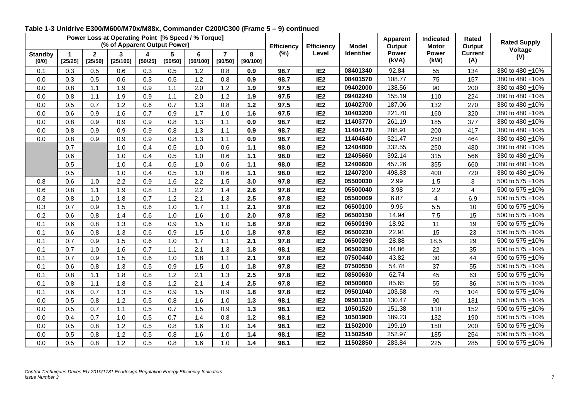|                           |                                 |                           | Power Loss at Operating Point [% Speed / % Torque]<br>(% of Apparent Output Power) |                             |              |               |                           |               | <b>Efficiency</b> | <b>Efficiency</b> | <b>Model</b>      | <b>Apparent</b><br>Output | Indicated<br><b>Motor</b> | Rated<br>Output       | <b>Rated Supply</b> |
|---------------------------|---------------------------------|---------------------------|------------------------------------------------------------------------------------|-----------------------------|--------------|---------------|---------------------------|---------------|-------------------|-------------------|-------------------|---------------------------|---------------------------|-----------------------|---------------------|
| <b>Standby</b><br>$[0/0]$ | $\blacktriangleleft$<br>[25/25] | $\overline{2}$<br>[25/50] | 3<br>[25/100]                                                                      | $\blacktriangle$<br>[50/25] | 5<br>[50/50] | 6<br>[50/100] | $\overline{7}$<br>[90/50] | 8<br>[90/100] | (%)               | Level             | <b>Identifier</b> | <b>Power</b><br>(kVA)     | <b>Power</b><br>(kW)      | <b>Current</b><br>(A) | Voltage<br>(V)      |
| 0.1                       | 0.3                             | 0.5                       | 0.6                                                                                | 0.3                         | 0.5          | 1.2           | 0.8                       | 0.9           | 98.7              | IE <sub>2</sub>   | 08401340          | 92.84                     | 55                        | 134                   | 380 to 480 +10%     |
| 0.0                       | 0.3                             | 0.5                       | 0.6                                                                                | 0.3                         | 0.5          | 1.2           | 0.8                       | 0.9           | 98.7              | IE <sub>2</sub>   | 08401570          | 108.77                    | 75                        | 157                   | 380 to 480 + 10%    |
| 0.0                       | 0.8                             | 1.1                       | 1.9                                                                                | 0.9                         | 1.1          | 2.0           | 1.2                       | 1.9           | 97.5              | IE <sub>2</sub>   | 09402000          | 138.56                    | 90                        | 200                   | 380 to 480 + 10%    |
| 0.0                       | 0.8                             | 1.1                       | 1.9                                                                                | 0.9                         | 1.1          | 2.0           | 1.2                       | 1.9           | 97.5              | IE <sub>2</sub>   | 09402240          | 155.19                    | 110                       | 224                   | 380 to 480 + 10%    |
| 0.0                       | 0.5                             | 0.7                       | $1.2$                                                                              | 0.6                         | 0.7          | 1.3           | 0.8                       | $1.2$         | 97.5              | IE <sub>2</sub>   | 10402700          | 187.06                    | 132                       | 270                   | 380 to 480 + 10%    |
| 0.0                       | 0.6                             | 0.9                       | 1.6                                                                                | 0.7                         | 0.9          | 1.7           | 1.0                       | 1.6           | 97.5              | IE <sub>2</sub>   | 10403200          | 221.70                    | 160                       | 320                   | 380 to 480 + 10%    |
| 0.0                       | 0.8                             | 0.9                       | 0.9                                                                                | 0.9                         | 0.8          | 1.3           | 1.1                       | 0.9           | 98.7              | IE <sub>2</sub>   | 11403770          | 261.19                    | 185                       | 377                   | 380 to 480 +10%     |
| 0.0                       | 0.8                             | 0.9                       | 0.9                                                                                | 0.9                         | 0.8          | 1.3           | 1.1                       | 0.9           | 98.7              | IE <sub>2</sub>   | 11404170          | 288.91                    | 200                       | 417                   | 380 to 480 +10%     |
| 0.0                       | 0.8                             | 0.9                       | 0.9                                                                                | 0.9                         | 0.8          | 1.3           | 1.1                       | 0.9           | 98.7              | IE <sub>2</sub>   | 11404640          | 321.47                    | 250                       | 464                   | 380 to 480 +10%     |
|                           | 0.7                             |                           | 1.0                                                                                | 0.4                         | 0.5          | 1.0           | 0.6                       | 1.1           | 98.0              | IE <sub>2</sub>   | 12404800          | 332.55                    | 250                       | 480                   | 380 to 480 +10%     |
|                           | 0.6                             |                           | 1.0                                                                                | 0.4                         | 0.5          | 1.0           | 0.6                       | $1.1$         | 98.0              | IE <sub>2</sub>   | 12405660          | 392.14                    | 315                       | 566                   | 380 to 480 +10%     |
|                           | 0.5                             |                           | 1.0                                                                                | 0.4                         | 0.5          | 1.0           | 0.6                       | $1.1$         | 98.0              | IE <sub>2</sub>   | 12406600          | 457.26                    | 355                       | 660                   | 380 to 480 + 10%    |
|                           | 0.5                             |                           | 1.0                                                                                | 0.4                         | 0.5          | 1.0           | 0.6                       | $1.1$         | 98.0              | IE <sub>2</sub>   | 12407200          | 498.83                    | 400                       | 720                   | 380 to 480 +10%     |
| 0.8                       | 0.6                             | 1.0                       | 2.2                                                                                | 0.9                         | 1.6          | 2.2           | 1.5                       | 3.0           | 97.8              | IE <sub>2</sub>   | 05500030          | 2.99                      | 1.5                       | 3                     | 500 to 575 +10%     |
| 0.6                       | 0.8                             | 1.1                       | 1.9                                                                                | 0.8                         | 1.3          | 2.2           | 1.4                       | 2.6           | 97.8              | IE <sub>2</sub>   | 05500040          | 3.98                      | 2.2                       | $\overline{4}$        | 500 to 575 +10%     |
| 0.3                       | 0.8                             | 1.0                       | 1.8                                                                                | 0.7                         | 1.2          | 2.1           | 1.3                       | 2.5           | 97.8              | IE <sub>2</sub>   | 05500069          | 6.87                      | $\overline{4}$            | 6.9                   | 500 to 575 +10%     |
| 0.3                       | 0.7                             | 0.9                       | 1.5                                                                                | 0.6                         | 1.0          | 1.7           | 1.1                       | 2.1           | 97.8              | IE <sub>2</sub>   | 06500100          | 9.96                      | 5.5                       | 10                    | 500 to 575 +10%     |
| 0.2                       | 0.6                             | 0.8                       | 1.4                                                                                | 0.6                         | 1.0          | 1.6           | 1.0                       | 2.0           | 97.8              | IE <sub>2</sub>   | 06500150          | 14.94                     | 7.5                       | 15                    | 500 to 575 +10%     |
| 0.1                       | 0.6                             | 0.8                       | 1.3                                                                                | 0.6                         | 0.9          | 1.5           | 1.0                       | 1.8           | 97.8              | IE <sub>2</sub>   | 06500190          | 18.92                     | 11                        | 19                    | 500 to 575 +10%     |
| 0.1                       | 0.6                             | 0.8                       | 1.3                                                                                | 0.6                         | 0.9          | 1.5           | 1.0                       | 1.8           | 97.8              | IE <sub>2</sub>   | 06500230          | 22.91                     | 15                        | 23                    | 500 to 575 +10%     |
| 0.1                       | 0.7                             | 0.9                       | 1.5                                                                                | 0.6                         | 1.0          | 1.7           | 1.1                       | 2.1           | 97.8              | IE <sub>2</sub>   | 06500290          | 28.88                     | 18.5                      | 29                    | 500 to 575 +10%     |
| 0.1                       | 0.7                             | 1.0                       | 1.6                                                                                | 0.7                         | 1.1          | 2.1           | 1.3                       | 1.8           | 98.1              | IE <sub>2</sub>   | 06500350          | 34.86                     | 22                        | 35                    | 500 to 575 +10%     |
| 0.1                       | 0.7                             | 0.9                       | 1.5                                                                                | 0.6                         | 1.0          | 1.8           | 1.1                       | 2.1           | 97.8              | IE <sub>2</sub>   | 07500440          | 43.82                     | 30                        | 44                    | 500 to 575 +10%     |
| 0.1                       | 0.6                             | 0.8                       | 1.3                                                                                | 0.5                         | 0.9          | 1.5           | 1.0                       | 1.8           | 97.8              | IE <sub>2</sub>   | 07500550          | 54.78                     | 37                        | 55                    | 500 to 575 +10%     |
| 0.1                       | 0.8                             | 1.1                       | 1.8                                                                                | 0.8                         | 1.2          | 2.1           | 1.3                       | 2.5           | 97.8              | IE <sub>2</sub>   | 08500630          | 62.74                     | 45                        | 63                    | 500 to 575 +10%     |
| 0.1                       | 0.8                             | 1.1                       | 1.8                                                                                | 0.8                         | 1.2          | 2.1           | 1.4                       | 2.5           | 97.8              | IE <sub>2</sub>   | 08500860          | 85.65                     | 55                        | 86                    | 500 to 575 +10%     |
| 0.1                       | 0.6                             | 0.7                       | 1.3                                                                                | 0.5                         | 0.9          | 1.5           | 0.9                       | 1.8           | 97.8              | IE <sub>2</sub>   | 09501040          | 103.58                    | 75                        | 104                   | 500 to 575 +10%     |
| 0.0                       | 0.5                             | 0.8                       | 1.2                                                                                | 0.5                         | 0.8          | 1.6           | 1.0                       | $1.3$         | 98.1              | IE <sub>2</sub>   | 09501310          | 130.47                    | 90                        | 131                   | 500 to 575 +10%     |
| 0.0                       | 0.5                             | 0.7                       | 1.1                                                                                | 0.5                         | 0.7          | 1.5           | 0.9                       | $1.3$         | 98.1              | IE <sub>2</sub>   | 10501520          | 151.38                    | 110                       | 152                   | 500 to 575 +10%     |
| 0.0                       | 0.4                             | 0.7                       | 1.0                                                                                | 0.5                         | 0.7          | 1.4           | 0.8                       | $1.2$         | 98.1              | IE <sub>2</sub>   | 10501900          | 189.23                    | 132                       | 190                   | 500 to 575 +10%     |
| 0.0                       | 0.5                             | 0.8                       | 1.2                                                                                | 0.5                         | 0.8          | 1.6           | 1.0                       | $1.4$         | 98.1              | IE <sub>2</sub>   | 11502000          | 199.19                    | 150                       | 200                   | 500 to 575 +10%     |
| 0.0                       | 0.5                             | 0.8                       | 1.2                                                                                | 0.5                         | 0.8          | 1.6           | 1.0                       | $1.4$         | 98.1              | IE <sub>2</sub>   | 11502540          | 252.97                    | 185                       | 254                   | 500 to 575 +10%     |
| 0.0                       | 0.5                             | 0.8                       | 1.2                                                                                | 0.5                         | 0.8          | 1.6           | 1.0                       | 1.4           | 98.1              | IE <sub>2</sub>   | 11502850          | 283.84                    | 225                       | 285                   | 500 to 575 +10%     |

#### **Table 1-3 Unidrive E300/M600/M70x/M88x, Commander C200/C300 (Frame 5 – 9) continued**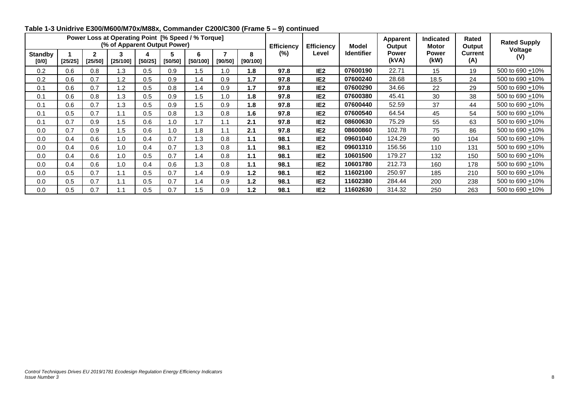|                         |         |                         | Power Loss at Operating Point [% Speed / % Torque]<br>(% of Apparent Output Power) |         |         |                 |              |               | <b>Efficiency</b> | <b>Efficiency</b> | <b>Model</b>      | Apparent<br>Output    | <b>Indicated</b><br><b>Motor</b> | Rated<br>Output       | <b>Rated Supply</b>  |
|-------------------------|---------|-------------------------|------------------------------------------------------------------------------------|---------|---------|-----------------|--------------|---------------|-------------------|-------------------|-------------------|-----------------------|----------------------------------|-----------------------|----------------------|
| <b>Standby</b><br>[0/0] | [25/25] | $\mathbf{2}$<br>[25/50] | [25/100]                                                                           | [50/25] | [50/50] | [50/100]        | ⇁<br>[90/50] | 8<br>[90/100] | $(\%)$            | Level             | <b>Identifier</b> | <b>Power</b><br>(kVA) | Power<br>(kW)                    | <b>Current</b><br>(A) | Voltage<br>(V)       |
| 0.2                     | 0.6     | 0.8                     | 1.3                                                                                | 0.5     | 0.9     | 5. ا            | 1.0          | 1.8           | 97.8              | IE <sub>2</sub>   | 07600190          | 22.71                 | 15                               | 19                    | 500 to 690 + 10%     |
| 0.2                     | 0.6     | 0.7                     | 1.2                                                                                | 0.5     | 0.9     | $\mathsf{I}$ .4 | 0.9          | 1.7           | 97.8              | IE <sub>2</sub>   | 07600240          | 28.68                 | 18.5                             | 24                    | 500 to 690 +10%      |
| 0.1                     | 0.6     | 0.7                     | 1.2                                                                                | 0.5     | 0.8     | $\cdot$         | 0.9          | 1.7           | 97.8              | IE <sub>2</sub>   | 07600290          | 34.66                 | 22                               | 29                    | 500 to 690 +10%      |
| 0.1                     | 0.6     | 0.8                     | 1.3                                                                                | 0.5     | 0.9     | .5              | 1.0          | 1.8           | 97.8              | IE <sub>2</sub>   | 07600380          | 45.41                 | 30                               | 38                    | 500 to 690 +10%      |
| 0.1                     | 0.6     | 0.7                     | 1.3                                                                                | 0.5     | 0.9     | .5              | 0.9          | 1.8           | 97.8              | IE <sub>2</sub>   | 07600440          | 52.59                 | 37                               | 44                    | 500 to 690 +10%      |
| 0.1                     | 0.5     | 0.7                     | 1.1                                                                                | 0.5     | 0.8     | .3              | 0.8          | 1.6           | 97.8              | IE <sub>2</sub>   | 07600540          | 64.54                 | 45                               | 54                    | 500 to 690 +10%      |
| 0.1                     | 0.7     | 0.9                     | 1.5                                                                                | 0.6     | 1.0     | . 7             | 1.1          | 2.1           | 97.8              | IE <sub>2</sub>   | 08600630          | 75.29                 | 55                               | 63                    | 500 to 690 +10%      |
| 0.0                     | 0.7     | 0.9                     | 1.5                                                                                | 0.6     | 1.0     | .8              | 1.1          | 2.1           | 97.8              | IE <sub>2</sub>   | 08600860          | 102.78                | 75                               | 86                    | 500 to 690 +10%      |
| 0.0                     | 0.4     | 0.6                     | 1.0                                                                                | 0.4     | 0.7     | 1.3             | 0.8          | 1.1           | 98.1              | IE <sub>2</sub>   | 09601040          | 124.29                | 90                               | 104                   | 500 to 690 +10%      |
| 0.0                     | 0.4     | 0.6                     | 1.0                                                                                | 0.4     | 0.7     | .3              | 0.8          | 1.1           | 98.1              | IE <sub>2</sub>   | 09601310          | 156.56                | 110                              | 131                   | 500 to 690 +10%      |
| 0.0                     | 0.4     | 0.6                     | 1.0                                                                                | 0.5     | 0.7     | $\overline{.4}$ | 0.8          | 1.1           | 98.1              | IE <sub>2</sub>   | 10601500          | 179.27                | 132                              | 150                   | 500 to 690 +10%      |
| 0.0                     | 0.4     | 0.6                     | 1.0                                                                                | 0.4     | 0.6     | $\overline{3}$  | 0.8          | 1.1           | 98.1              | IE <sub>2</sub>   | 10601780          | 212.73                | 160                              | 178                   | 500 to 690 + 10%     |
| 0.0                     | 0.5     | 0.7                     | 1.1                                                                                | 0.5     | 0.7     | .4              | 0.9          | 1.2           | 98.1              | IE <sub>2</sub>   | 11602100          | 250.97                | 185                              | 210                   | 500 to 690 +10%      |
| 0.0                     | 0.5     | 0.7                     | 1.1                                                                                | 0.5     | 0.7     | $\cdot$         | 0.9          | 1.2           | 98.1              | IE <sub>2</sub>   | 11602380          | 284.44                | 200                              | 238                   | 500 to 690 $\pm$ 10% |
| 0.0                     | 0.5     | 0.7                     | 1.1                                                                                | 0.5     | 0.7     | $\overline{5}$  | 0.9          | 1.2           | 98.1              | IE <sub>2</sub>   | 11602630          | 314.32                | 250                              | 263                   | 500 to 690 +10%      |

### **Table 1-3 Unidrive E300/M600/M70x/M88x, Commander C200/C300 (Frame 5 – 9) continued**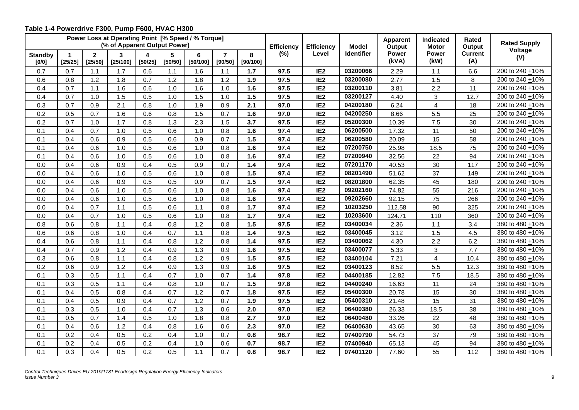<span id="page-9-0"></span>

|                           |              |                           | Power Loss at Operating Point [% Speed / % Torque]<br>(% of Apparent Output Power) |              |              |               |                           |               | <b>Efficiency</b> | <b>Efficiency</b> | <b>Model</b> | <b>Apparent</b><br>Output | <b>Indicated</b><br><b>Motor</b> | <b>Rated</b><br>Output | <b>Rated Supply</b>  |
|---------------------------|--------------|---------------------------|------------------------------------------------------------------------------------|--------------|--------------|---------------|---------------------------|---------------|-------------------|-------------------|--------------|---------------------------|----------------------------------|------------------------|----------------------|
| <b>Standby</b><br>$[0/0]$ | 1<br>[25/25] | $\overline{2}$<br>[25/50] | 3<br>[25/100]                                                                      | 4<br>[50/25] | 5<br>[50/50] | 6<br>[50/100] | $\overline{7}$<br>[90/50] | 8<br>[90/100] | (%)               | Level             | Identifier   | Power<br>(kVA)            | Power<br>(kW)                    | <b>Current</b><br>(A)  | Voltage<br>(V)       |
| 0.7                       | 0.7          | 1.1                       | 1.7                                                                                | 0.6          | 1.1          | 1.6           | 1.1                       | 1.7           | 97.5              | IE <sub>2</sub>   | 03200066     | 2.29                      | 1.1                              | 6.6                    | 200 to 240 +10%      |
| 0.6                       | 0.8          | 1.2                       | 1.8                                                                                | 0.7          | $1.2$        | 1.8           | $1.2$                     | 1.9           | 97.5              | IE <sub>2</sub>   | 03200080     | 2.77                      | 1.5                              | 8                      | 200 to 240 + 10%     |
| 0.4                       | 0.7          | 1.1                       | 1.6                                                                                | 0.6          | 1.0          | 1.6           | 1.0                       | 1.6           | 97.5              | IE <sub>2</sub>   | 03200110     | 3.81                      | 2.2                              | 11                     | 200 to 240 + 10%     |
| 0.4                       | 0.7          | 1.0                       | 1.5                                                                                | 0.5          | 1.0          | 1.5           | 1.0                       | 1.5           | 97.5              | IE <sub>2</sub>   | 03200127     | 4.40                      | 3                                | 12.7                   | 200 to 240 +10%      |
| 0.3                       | 0.7          | 0.9                       | 2.1                                                                                | 0.8          | 1.0          | 1.9           | 0.9                       | 2.1           | 97.0              | IE <sub>2</sub>   | 04200180     | 6.24                      | $\overline{4}$                   | 18                     | 200 to 240 $\pm$ 10% |
| 0.2                       | 0.5          | 0.7                       | 1.6                                                                                | 0.6          | 0.8          | 1.5           | 0.7                       | 1.6           | 97.0              | IE <sub>2</sub>   | 04200250     | 8.66                      | 5.5                              | 25                     | 200 to 240 +10%      |
| 0.2                       | 0.7          | 1.0                       | 1.7                                                                                | 0.8          | 1.3          | 2.3           | 1.5                       | 3.7           | 97.5              | IE <sub>2</sub>   | 05200300     | 10.39                     | 7.5                              | 30                     | 200 to 240 +10%      |
| 0.1                       | 0.4          | 0.7                       | 1.0                                                                                | 0.5          | 0.6          | 1.0           | 0.8                       | 1.6           | 97.4              | IE <sub>2</sub>   | 06200500     | 17.32                     | 11                               | 50                     | 200 to 240 +10%      |
| 0.1                       | 0.4          | 0.6                       | 0.9                                                                                | 0.5          | 0.6          | 0.9           | 0.7                       | 1.5           | 97.4              | IE <sub>2</sub>   | 06200580     | 20.09                     | 15                               | 58                     | 200 to 240 +10%      |
| 0.1                       | 0.4          | 0.6                       | 1.0                                                                                | 0.5          | 0.6          | 1.0           | 0.8                       | 1.6           | 97.4              | IE <sub>2</sub>   | 07200750     | 25.98                     | 18.5                             | 75                     | 200 to 240 +10%      |
| 0.1                       | 0.4          | 0.6                       | 1.0                                                                                | 0.5          | 0.6          | 1.0           | 0.8                       | 1.6           | 97.4              | IE <sub>2</sub>   | 07200940     | 32.56                     | 22                               | 94                     | 200 to 240 +10%      |
| 0.0                       | 0.4          | 0.6                       | 0.9                                                                                | 0.4          | 0.5          | 0.9           | 0.7                       | 1.4           | 97.4              | IE <sub>2</sub>   | 07201170     | 40.53                     | 30                               | 117                    | 200 to 240 +10%      |
| 0.0                       | 0.4          | 0.6                       | 1.0                                                                                | 0.5          | 0.6          | 1.0           | 0.8                       | 1.5           | 97.4              | IE <sub>2</sub>   | 08201490     | 51.62                     | 37                               | 149                    | 200 to 240 +10%      |
| 0.0                       | 0.4          | 0.6                       | 0.9                                                                                | 0.5          | 0.5          | 0.9           | 0.7                       | 1.5           | 97.4              | IE <sub>2</sub>   | 08201800     | 62.35                     | 45                               | 180                    | 200 to 240 +10%      |
| 0.0                       | 0.4          | 0.6                       | 1.0                                                                                | 0.5          | 0.6          | 1.0           | 0.8                       | 1.6           | 97.4              | IE <sub>2</sub>   | 09202160     | 74.82                     | 55                               | 216                    | 200 to 240 + 10%     |
| 0.0                       | 0.4          | 0.6                       | 1.0                                                                                | 0.5          | 0.6          | 1.0           | 0.8                       | 1.6           | 97.4              | IE <sub>2</sub>   | 09202660     | 92.15                     | 75                               | 266                    | 200 to 240 +10%      |
| 0.0                       | 0.4          | 0.7                       | 1.1                                                                                | 0.5          | 0.6          | 1.1           | 0.8                       | 1.7           | 97.4              | IE <sub>2</sub>   | 10203250     | 112.58                    | 90                               | 325                    | 200 to 240 + 10%     |
| 0.0                       | 0.4          | 0.7                       | 1.0                                                                                | 0.5          | 0.6          | 1.0           | 0.8                       | $1.7$         | 97.4              | IE <sub>2</sub>   | 10203600     | 124.71                    | 110                              | 360                    | 200 to 240 +10%      |
| 0.8                       | 0.6          | 0.8                       | 1.1                                                                                | 0.4          | 0.8          | 1.2           | 0.8                       | 1.5           | 97.5              | IE <sub>2</sub>   | 03400034     | 2.36                      | 1.1                              | 3.4                    | 380 to 480 +10%      |
| 0.6                       | 0.6          | 0.8                       | 1.0                                                                                | 0.4          | 0.7          | 1.1           | 0.8                       | $1.4$         | 97.5              | IE <sub>2</sub>   | 03400045     | 3.12                      | 1.5                              | 4.5                    | 380 to 480 +10%      |
| 0.4                       | 0.6          | 0.8                       | 1.1                                                                                | 0.4          | 0.8          | 1.2           | 0.8                       | 1.4           | 97.5              | IE <sub>2</sub>   | 03400062     | 4.30                      | 2.2                              | 6.2                    | 380 to 480 +10%      |
| 0.4                       | 0.7          | 0.9                       | 1.2                                                                                | 0.4          | 0.9          | 1.3           | 0.9                       | 1.6           | 97.5              | IE <sub>2</sub>   | 03400077     | 5.33                      | 3                                | 7.7                    | 380 to 480 +10%      |
| 0.3                       | 0.6          | 0.8                       | 1.1                                                                                | 0.4          | 0.8          | 1.2           | 0.9                       | 1.5           | 97.5              | IE <sub>2</sub>   | 03400104     | 7.21                      | $\overline{4}$                   | 10.4                   | 380 to 480 +10%      |
| 0.2                       | 0.6          | 0.9                       | 1.2                                                                                | 0.4          | 0.9          | 1.3           | 0.9                       | 1.6           | 97.5              | IE <sub>2</sub>   | 03400123     | 8.52                      | 5.5                              | 12.3                   | 380 to 480 + 10%     |
| 0.1                       | 0.3          | 0.5                       | 1.1                                                                                | 0.4          | 0.7          | 1.0           | 0.7                       | $1.4$         | 97.8              | IE <sub>2</sub>   | 04400185     | 12.82                     | 7.5                              | 18.5                   | 380 to 480 +10%      |
| 0.1                       | 0.3          | 0.5                       | 1.1                                                                                | 0.4          | 0.8          | 1.0           | 0.7                       | 1.5           | 97.8              | IE <sub>2</sub>   | 04400240     | 16.63                     | 11                               | 24                     | 380 to 480 + 10%     |
| 0.1                       | 0.4          | 0.5                       | 0.8                                                                                | 0.4          | 0.7          | 1.2           | 0.7                       | 1.8           | 97.5              | IE <sub>2</sub>   | 05400300     | 20.78                     | 15                               | 30                     | 380 to 480 ±10%      |
| 0.1                       | 0.4          | 0.5                       | 0.9                                                                                | 0.4          | 0.7          | 1.2           | 0.7                       | 1.9           | 97.5              | IE <sub>2</sub>   | 05400310     | 21.48                     | 15                               | 31                     | 380 to 480 + 10%     |
| 0.1                       | 0.3          | 0.5                       | 1.0                                                                                | 0.4          | 0.7          | 1.3           | 0.6                       | 2.0           | 97.0              | IE <sub>2</sub>   | 06400380     | 26.33                     | 18.5                             | 38                     | 380 to 480 + 10%     |
| 0.1                       | 0.5          | 0.7                       | 1.4                                                                                | 0.5          | 1.0          | 1.8           | 0.8                       | 2.7           | 97.0              | IE <sub>2</sub>   | 06400480     | 33.26                     | 22                               | 48                     | 380 to 480 + 10%     |
| 0.1                       | 0.4          | 0.6                       | $1.2$                                                                              | 0.4          | 0.8          | 1.6           | 0.6                       | 2.3           | 97.0              | IE <sub>2</sub>   | 06400630     | 43.65                     | 30                               | 63                     | 380 to 480 + 10%     |
| 0.1                       | 0.2          | 0.4                       | 0.5                                                                                | 0.2          | 0.4          | 1.0           | 0.7                       | 0.8           | 98.7              | IE <sub>2</sub>   | 07400790     | 54.73                     | 37                               | 79                     | 380 to 480 + 10%     |
| 0.1                       | 0.2          | 0.4                       | 0.5                                                                                | 0.2          | 0.4          | 1.0           | 0.6                       | 0.7           | 98.7              | IE <sub>2</sub>   | 07400940     | 65.13                     | 45                               | 94                     | 380 to 480 +10%      |
| 0.1                       | 0.3          | 0.4                       | 0.5                                                                                | 0.2          | 0.5          | 1.1           | 0.7                       | 0.8           | 98.7              | IE <sub>2</sub>   | 07401120     | 77.60                     | 55                               | 112                    | 380 to 480 ±10%      |

## **Table 1-4 Powerdrive F300, Pump F600, HVAC H300**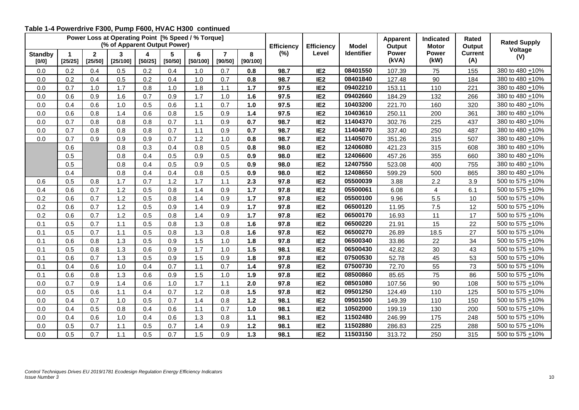#### **Table 1-4 Powerdrive F300, Pump F600, HVAC H300 continued**

|                         | Power Loss at Operating Point [% Speed / % Torque]<br>(% of Apparent Output Power)<br>5<br>$\overline{2}$<br>4<br>6<br>3<br>-1 |         |          |         |         |          |                           |               | <b>Efficiency</b> | <b>Efficiency</b> | <b>Model</b>      | <b>Apparent</b><br>Output | <b>Indicated</b><br><b>Motor</b> | Rated<br>Output       | <b>Rated Supply</b> |
|-------------------------|--------------------------------------------------------------------------------------------------------------------------------|---------|----------|---------|---------|----------|---------------------------|---------------|-------------------|-------------------|-------------------|---------------------------|----------------------------------|-----------------------|---------------------|
| <b>Standby</b><br>[0/0] | [25/25]                                                                                                                        | [25/50] | [25/100] | [50/25] | [50/50] | [50/100] | $\overline{7}$<br>[90/50] | 8<br>[90/100] | $(\%)$            | Level             | <b>Identifier</b> | <b>Power</b><br>(kVA)     | <b>Power</b><br>(kW)             | <b>Current</b><br>(A) | Voltage<br>(V)      |
| 0.0                     | 0.2                                                                                                                            | 0.4     | 0.5      | 0.2     | 0.4     | 1.0      | 0.7                       | 0.8           | 98.7              | IE <sub>2</sub>   | 08401550          | 107.39                    | 75                               | 155                   | 380 to 480 +10%     |
| 0.0                     | 0.2                                                                                                                            | 0.4     | 0.5      | 0.2     | 0.4     | 1.0      | 0.7                       | 0.8           | 98.7              | IE <sub>2</sub>   | 08401840          | 127.48                    | 90                               | 184                   | 380 to 480 + 10%    |
| 0.0                     | 0.7                                                                                                                            | 1.0     | 1.7      | 0.8     | 1.0     | 1.8      | 1.1                       | 1.7           | 97.5              | IE <sub>2</sub>   | 09402210          | 153.11                    | 110                              | 221                   | 380 to 480 + 10%    |
| 0.0                     | 0.6                                                                                                                            | 0.9     | 1.6      | 0.7     | 0.9     | 1.7      | 1.0                       | 1.6           | 97.5              | IE <sub>2</sub>   | 09402660          | 184.29                    | 132                              | 266                   | 380 to 480 + 10%    |
| 0.0                     | 0.4                                                                                                                            | 0.6     | 1.0      | 0.5     | 0.6     | $1.1$    | 0.7                       | 1.0           | 97.5              | IE <sub>2</sub>   | 10403200          | 221.70                    | 160                              | 320                   | 380 to 480 + 10%    |
| 0.0                     | 0.6                                                                                                                            | 0.8     | 1.4      | 0.6     | 0.8     | 1.5      | 0.9                       | 1.4           | 97.5              | IE <sub>2</sub>   | 10403610          | 250.11                    | 200                              | 361                   | 380 to 480 ±10%     |
| 0.0                     | 0.7                                                                                                                            | 0.8     | 0.8      | 0.8     | 0.7     | 1.1      | 0.9                       | 0.7           | 98.7              | IE <sub>2</sub>   | 11404370          | 302.76                    | 225                              | 437                   | 380 to 480 +10%     |
| 0.0                     | 0.7                                                                                                                            | 0.8     | 0.8      | 0.8     | 0.7     | 1.1      | 0.9                       | 0.7           | 98.7              | IE <sub>2</sub>   | 11404870          | 337.40                    | 250                              | 487                   | 380 to 480 + 10%    |
| 0.0                     | 0.7                                                                                                                            | 0.9     | 0.9      | 0.9     | 0.7     | 1.2      | 1.0                       | 0.8           | 98.7              | IE <sub>2</sub>   | 11405070          | 351.26                    | 315                              | 507                   | 380 to 480 + 10%    |
|                         | 0.6                                                                                                                            |         | 0.8      | 0.3     | 0.4     | 0.8      | 0.5                       | 0.8           | 98.0              | IE <sub>2</sub>   | 12406080          | 421.23                    | 315                              | 608                   | 380 to 480 +10%     |
|                         | 0.5                                                                                                                            |         | 0.8      | 0.4     | 0.5     | 0.9      | 0.5                       | 0.9           | 98.0              | IE <sub>2</sub>   | 12406600          | 457.26                    | 355                              | 660                   | 380 to 480 +10%     |
|                         | 0.5                                                                                                                            |         | 0.8      | 0.4     | 0.5     | 0.9      | 0.5                       | 0.9           | 98.0              | IE <sub>2</sub>   | 12407550          | 523.08                    | 400                              | 755                   | 380 to 480 +10%     |
|                         | 0.4                                                                                                                            |         | 0.8      | 0.4     | 0.4     | 0.8      | 0.5                       | 0.9           | 98.0              | IE <sub>2</sub>   | 12408650          | 599.29                    | 500                              | 865                   | 380 to 480 +10%     |
| 0.6                     | 0.5                                                                                                                            | 0.8     | 1.7      | 0.7     | 1.2     | 1.7      | 1.1                       | 2.3           | 97.8              | IE <sub>2</sub>   | 05500039          | 3.88                      | 2.2                              | 3.9                   | 500 to 575 +10%     |
| 0.4                     | 0.6                                                                                                                            | 0.7     | 1.2      | 0.5     | 0.8     | 1.4      | 0.9                       | $1.7$         | 97.8              | IE <sub>2</sub>   | 05500061          | 6.08                      | $\overline{4}$                   | 6.1                   | 500 to 575 +10%     |
| 0.2                     | 0.6                                                                                                                            | 0.7     | 1.2      | 0.5     | 0.8     | 1.4      | 0.9                       | $1.7$         | 97.8              | IE <sub>2</sub>   | 05500100          | 9.96                      | 5.5                              | $10$                  | 500 to 575 +10%     |
| 0.2                     | 0.6                                                                                                                            | 0.7     | 1.2      | 0.5     | 0.9     | 1.4      | 0.9                       | 1.7           | 97.8              | IE <sub>2</sub>   | 06500120          | 11.95                     | 7.5                              | 12                    | 500 to 575 +10%     |
| 0.2                     | 0.6                                                                                                                            | 0.7     | 1.2      | 0.5     | 0.8     | 1.4      | 0.9                       | $1.7$         | 97.8              | IE <sub>2</sub>   | 06500170          | 16.93                     | 11                               | 17                    | 500 to 575 +10%     |
| 0.1                     | 0.5                                                                                                                            | 0.7     | 1.1      | 0.5     | 0.8     | 1.3      | 0.8                       | 1.6           | 97.8              | IE <sub>2</sub>   | 06500220          | 21.91                     | 15                               | 22                    | 500 to 575 +10%     |
| 0.1                     | 0.5                                                                                                                            | 0.7     | 1.1      | 0.5     | 0.8     | 1.3      | 0.8                       | 1.6           | 97.8              | IE <sub>2</sub>   | 06500270          | 26.89                     | 18.5                             | 27                    | 500 to 575 +10%     |
| 0.1                     | 0.6                                                                                                                            | 0.8     | 1.3      | 0.5     | 0.9     | 1.5      | 1.0                       | 1.8           | 97.8              | IE <sub>2</sub>   | 06500340          | 33.86                     | 22                               | 34                    | 500 to 575 +10%     |
| 0.1                     | 0.5                                                                                                                            | 0.8     | 1.3      | 0.6     | 0.9     | 1.7      | 1.0                       | 1.5           | 98.1              | IE <sub>2</sub>   | 06500430          | 42.82                     | 30                               | 43                    | 500 to 575 +10%     |
| 0.1                     | 0.6                                                                                                                            | 0.7     | 1.3      | 0.5     | 0.9     | 1.5      | 0.9                       | 1.8           | 97.8              | IE <sub>2</sub>   | 07500530          | 52.78                     | 45                               | 53                    | 500 to 575 +10%     |
| 0.1                     | 0.4                                                                                                                            | 0.6     | 1.0      | 0.4     | 0.7     | 1.1      | 0.7                       | 1.4           | 97.8              | IE <sub>2</sub>   | 07500730          | 72.70                     | 55                               | 73                    | 500 to 575 +10%     |
| 0.1                     | 0.6                                                                                                                            | 0.8     | 1.3      | 0.6     | 0.9     | 1.5      | 1.0                       | 1.9           | 97.8              | IE <sub>2</sub>   | 08500860          | 85.65                     | 75                               | 86                    | 500 to 575 +10%     |
| 0.0                     | 0.7                                                                                                                            | 0.9     | 1.4      | 0.6     | 1.0     | 1.7      | 1.1                       | 2.0           | 97.8              | IE <sub>2</sub>   | 08501080          | 107.56                    | 90                               | 108                   | 500 to 575 +10%     |
| 0.0                     | 0.5                                                                                                                            | 0.6     | 1.1      | 0.4     | 0.7     | 1.2      | 0.8                       | 1.5           | 97.8              | IE <sub>2</sub>   | 09501250          | 124.49                    | 110                              | 125                   | 500 to 575 +10%     |
| 0.0                     | 0.4                                                                                                                            | 0.7     | 1.0      | 0.5     | 0.7     | 1.4      | 0.8                       | $1.2$         | 98.1              | IE <sub>2</sub>   | 09501500          | 149.39                    | 110                              | 150                   | 500 to 575 +10%     |
| 0.0                     | 0.4                                                                                                                            | 0.5     | 0.8      | 0.4     | 0.6     | 1.1      | 0.7                       | 1.0           | 98.1              | IE <sub>2</sub>   | 10502000          | 199.19                    | 130                              | 200                   | 500 to 575 +10%     |
| 0.0                     | 0.4                                                                                                                            | 0.6     | 1.0      | 0.4     | 0.6     | 1.3      | 0.8                       | 1.1           | 98.1              | IE <sub>2</sub>   | 11502480          | 246.99                    | 175                              | 248                   | 500 to 575 +10%     |
| 0.0                     | 0.5                                                                                                                            | 0.7     | 1.1      | 0.5     | 0.7     | 1.4      | 0.9                       | $1.2$         | 98.1              | IE <sub>2</sub>   | 11502880          | 286.83                    | 225                              | 288                   | 500 to 575 +10%     |
| 0.0                     | 0.5                                                                                                                            | 0.7     | 1.1      | 0.5     | 0.7     | 1.5      | 0.9                       | $1.3$         | 98.1              | IE <sub>2</sub>   | 11503150          | 313.72                    | 250                              | 315                   | 500 to 575 +10%     |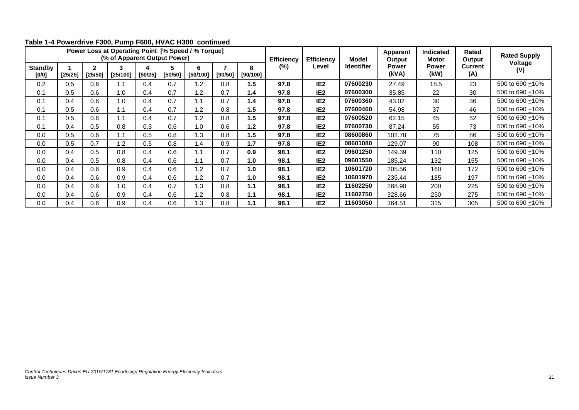|                         |         |              | (% of Apparent Output Power) |         |              | Power Loss at Operating Point [% Speed / % Torque] |         |               | <b>Efficiency</b><br>$(\%)$ | <b>Efficiency</b> | <b>Model</b>      | <b>Apparent</b><br>Output | <b>Indicated</b><br><b>Motor</b> | Rated<br>Output       | <b>Rated Supply</b>  |
|-------------------------|---------|--------------|------------------------------|---------|--------------|----------------------------------------------------|---------|---------------|-----------------------------|-------------------|-------------------|---------------------------|----------------------------------|-----------------------|----------------------|
| <b>Standby</b><br>[0/0] | [25/25] | 2<br>[25/50] | [25/100]                     | [50/25] | 5<br>[50/50] | 6<br>[50/100]                                      | [90/50] | 8<br>[90/100] |                             | Level             | <b>Identifier</b> | <b>Power</b><br>(kVA)     | <b>Power</b><br>(kW)             | <b>Current</b><br>(A) | Voltage<br>(V)       |
| 0.2                     | 0.5     | 0.6          | 1.1                          | 0.4     | 0.7          | 1.2                                                | 0.8     | 1.5           | 97.8                        | IE <sub>2</sub>   | 07600230          | 27.49                     | 18.5                             | 23                    | 500 to 690 +10%      |
| 0.1                     | 0.5     | 0.6          | 1.0                          | 0.4     | 0.7          | 1.2                                                | 0.7     | 1.4           | 97.8                        | IE <sub>2</sub>   | 07600300          | 35.85                     | 22                               | 30                    | 500 to 690 $\pm$ 10% |
| 0.1                     | 0.4     | 0.6          | 1.0                          | 0.4     | 0.7          | 1.1                                                | 0.7     | 1.4           | 97.8                        | IE <sub>2</sub>   | 07600360          | 43.02                     | 30                               | 36                    | 500 to 690 +10%      |
| 0.1                     | 0.5     | 0.6          | 1.1                          | 0.4     | 0.7          | 1.2                                                | 0.8     | 1.5           | 97.8                        | IE <sub>2</sub>   | 07600460          | 54.98                     | 37                               | 46                    | 500 to 690 +10%      |
| 0.1                     | 0.5     | 0.6          | 1.1                          | 0.4     | 0.7          | 1.2                                                | 0.8     | 1.5           | 97.8                        | IE <sub>2</sub>   | 07600520          | 62.15                     | 45                               | 52                    | 500 to 690 +10%      |
| 0.1                     | 0.4     | 0.5          | 0.8                          | 0.3     | 0.6          | 1.0                                                | 0.6     | 1.2           | 97.8                        | IE <sub>2</sub>   | 07600730          | 87.24                     | 55                               | 73                    | 500 to 690 + 10%     |
| 0.0                     | 0.5     | 0.6          | 1.1                          | 0.5     | 0.8          | 1.3                                                | 0.8     | 1.5           | 97.8                        | IE <sub>2</sub>   | 08600860          | 102.78                    | 75                               | 86                    | 500 to 690 +10%      |
| 0.0                     | 0.5     | 0.7          | 1.2                          | 0.5     | 0.8          | 1.4                                                | 0.9     | 1.7           | 97.8                        | IE <sub>2</sub>   | 08601080          | 129.07                    | 90                               | 108                   | 500 to 690 +10%      |
| 0.0                     | 0.4     | 0.5          | 0.8                          | 0.4     | 0.6          | 1.1                                                | 0.7     | 0.9           | 98.1                        | IE <sub>2</sub>   | 09601250          | 149.39                    | 110                              | 125                   | 500 to 690 +10%      |
| 0.0                     | 0.4     | 0.5          | 0.8                          | 0.4     | 0.6          | 1.1                                                | 0.7     | 1.0           | 98.1                        | IE <sub>2</sub>   | 09601550          | 185.24                    | 132                              | 155                   | 500 to 690 +10%      |
| 0.0                     | 0.4     | 0.6          | 0.9                          | 0.4     | 0.6          | 1.2                                                | 0.7     | 1.0           | 98.1                        | IE <sub>2</sub>   | 10601720          | 205.56                    | 160                              | 172                   | 500 to 690 +10%      |
| 0.0                     | 0.4     | 0.6          | 0.9                          | 0.4     | 0.6          | 1.2                                                | 0.7     | 1.0           | 98.1                        | IE <sub>2</sub>   | 10601970          | 235.44                    | 185                              | 197                   | 500 to 690 +10%      |
| 0.0                     | 0.4     | 0.6          | 1.0                          | 0.4     | 0.7          | 1.3                                                | 0.8     | 1.1           | 98.1                        | IE <sub>2</sub>   | 11602250          | 268.90                    | 200                              | 225                   | 500 to 690 +10%      |
| 0.0                     | 0.4     | 0.6          | 0.9                          | 0.4     | 0.6          | 1.2                                                | 0.8     | 1.1           | 98.1                        | IE <sub>2</sub>   | 11602750          | 328.66                    | 250                              | 275                   | 500 to 690 +10%      |
| 0.0                     | 0.4     | 0.6          | 0.9                          | 0.4     | 0.6          | 1.3                                                | 0.8     | 1.1           | 98.1                        | IE <sub>2</sub>   | 11603050          | 364.51                    | 315                              | 305                   | 500 to 690 +10%      |

#### **Table 1-4 Powerdrive F300, Pump F600, HVAC H300 continued**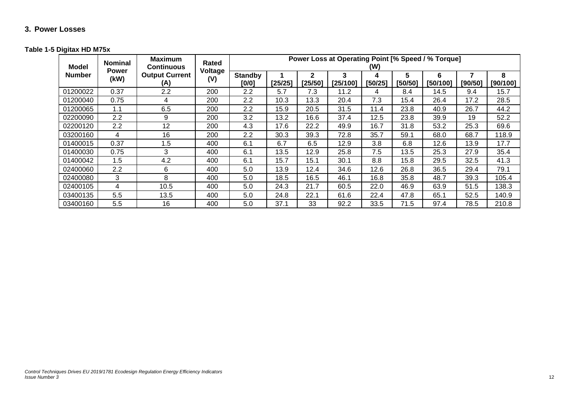## **3. Power Losses**

#### **Table 1-5 Digitax HD M75x**

<span id="page-12-1"></span><span id="page-12-0"></span>

| Model         | <b>Nominal</b><br><b>Power</b> | <b>Maximum</b><br><b>Continuous</b> | Rated<br>Voltage<br>(V) | Power Loss at Operating Point [% Speed / % Torque]<br>(W) |         |              |               |              |              |               |         |               |  |
|---------------|--------------------------------|-------------------------------------|-------------------------|-----------------------------------------------------------|---------|--------------|---------------|--------------|--------------|---------------|---------|---------------|--|
| <b>Number</b> | (kW)                           | <b>Output Current</b><br>(A)        |                         | <b>Standby</b><br>[0/0]                                   | [25/25] | 2<br>[25/50] | 3<br>[25/100] | 4<br>[50/25] | 5<br>[50/50] | 6<br>[50/100] | [90/50] | 8<br>[90/100] |  |
| 01200022      | 0.37                           | 2.2                                 | 200                     | 2.2                                                       | 5.7     | 7.3          | 11.2          | 4            | 8.4          | 14.5          | 9.4     | 15.7          |  |
| 01200040      | 0.75                           | 4                                   | 200                     | 2.2                                                       | 10.3    | 13.3         | 20.4          | 7.3          | 15.4         | 26.4          | 17.2    | 28.5          |  |
| 01200065      | 1.1                            | 6.5                                 | 200                     | $2.2\phantom{0}$                                          | 15.9    | 20.5         | 31.5          | 11.4         | 23.8         | 40.9          | 26.7    | 44.2          |  |
| 02200090      | 2.2                            | 9                                   | 200                     | 3.2                                                       | 13.2    | 16.6         | 37.4          | 12.5         | 23.8         | 39.9          | 19      | 52.2          |  |
| 02200120      | 2.2                            | 12                                  | 200                     | 4.3                                                       | 17.6    | 22.2         | 49.9          | 16.7         | 31.8         | 53.2          | 25.3    | 69.6          |  |
| 03200160      | 4                              | 16                                  | 200                     | 2.2                                                       | 30.3    | 39.3         | 72.8          | 35.7         | 59.1         | 68.0          | 68.7    | 118.9         |  |
| 01400015      | 0.37                           | 1.5                                 | 400                     | 6.1                                                       | 6.7     | 6.5          | 12.9          | 3.8          | 6.8          | 12.6          | 13.9    | 17.7          |  |
| 01400030      | 0.75                           | 3                                   | 400                     | 6.1                                                       | 13.5    | 12.9         | 25.8          | 7.5          | 13.5         | 25.3          | 27.9    | 35.4          |  |
| 01400042      | 1.5                            | 4.2                                 | 400                     | 6.1                                                       | 15.7    | 15.1         | 30.1          | 8.8          | 15.8         | 29.5          | 32.5    | 41.3          |  |
| 02400060      | 2.2                            | 6                                   | 400                     | 5.0                                                       | 13.9    | 12.4         | 34.6          | 12.6         | 26.8         | 36.5          | 29.4    | 79.1          |  |
| 02400080      | 3                              | 8                                   | 400                     | 5.0                                                       | 18.5    | 16.5         | 46.1          | 16.8         | 35.8         | 48.7          | 39.3    | 105.4         |  |
| 02400105      | 4                              | 10.5                                | 400                     | 5.0                                                       | 24.3    | 21.7         | 60.5          | 22.0         | 46.9         | 63.9          | 51.5    | 138.3         |  |
| 03400135      | 5.5                            | 13.5                                | 400                     | 5.0                                                       | 24.8    | 22.1         | 61.6          | 22.4         | 47.8         | 65.1          | 52.5    | 140.9         |  |
| 03400160      | 5.5                            | 16                                  | 400                     | 5.0                                                       | 37.1    | 33           | 92.2          | 33.5         | 71.5         | 97.4          | 78.5    | 210.8         |  |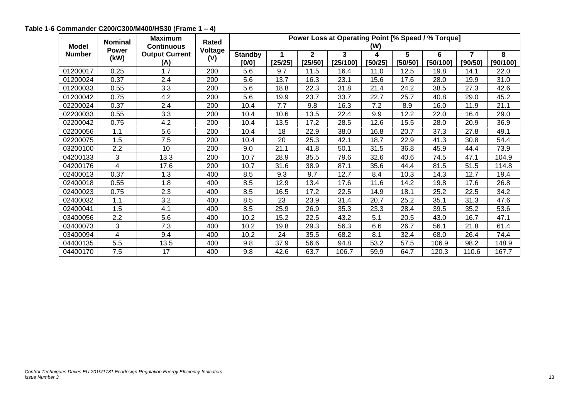<span id="page-13-0"></span>

| <b>Model</b>  | <b>Nominal</b>       | <b>Maximum</b><br><b>Continuous</b> | Rated          |                         | Power Loss at Operating Point [% Speed / % Torque] |                         |               |              |              |               |              |               |
|---------------|----------------------|-------------------------------------|----------------|-------------------------|----------------------------------------------------|-------------------------|---------------|--------------|--------------|---------------|--------------|---------------|
| <b>Number</b> | <b>Power</b><br>(kW) | <b>Output Current</b><br>(A)        | Voltage<br>(V) | <b>Standby</b><br>[0/0] | [25/25]                                            | $\mathbf{2}$<br>[25/50] | 3<br>[25/100] | 4<br>[50/25] | 5<br>[50/50] | 6<br>[50/100] | 7<br>[90/50] | 8<br>[90/100] |
| 01200017      | 0.25                 | 1.7                                 | 200            | 5.6                     | 9.7                                                | 11.5                    | 16.4          | 11.0         | 12.5         | 19.8          | 14.1         | 22.0          |
| 01200024      | 0.37                 | 2.4                                 | 200            | 5.6                     | 13.7                                               | 16.3                    | 23.1          | 15.6         | 17.6         | 28.0          | 19.9         | 31.0          |
| 01200033      | 0.55                 | 3.3                                 | 200            | 5.6                     | 18.8                                               | 22.3                    | 31.8          | 21.4         | 24.2         | 38.5          | 27.3         | 42.6          |
| 01200042      | 0.75                 | 4.2                                 | 200            | 5.6                     | 19.9                                               | 23.7                    | 33.7          | 22.7         | 25.7         | 40.8          | 29.0         | 45.2          |
| 02200024      | 0.37                 | 2.4                                 | 200            | 10.4                    | 7.7                                                | 9.8                     | 16.3          | 7.2          | 8.9          | 16.0          | 11.9         | 21.1          |
| 02200033      | 0.55                 | 3.3                                 | 200            | 10.4                    | 10.6                                               | 13.5                    | 22.4          | 9.9          | 12.2         | 22.0          | 16.4         | 29.0          |
| 02200042      | 0.75                 | 4.2                                 | 200            | 10.4                    | 13.5                                               | 17.2                    | 28.5          | 12.6         | 15.5         | 28.0          | 20.9         | 36.9          |
| 02200056      | 1.1                  | 5.6                                 | 200            | 10.4                    | 18                                                 | 22.9                    | 38.0          | 16.8         | 20.7         | 37.3          | 27.8         | 49.1          |
| 02200075      | 1.5                  | 7.5                                 | 200            | 10.4                    | 20                                                 | 25.3                    | 42.1          | 18.7         | 22.9         | 41.3          | 30.8         | 54.4          |
| 03200100      | 2.2                  | 10                                  | 200            | 9.0                     | 21.1                                               | 41.8                    | 50.1          | 31.5         | 36.8         | 45.9          | 44.4         | 73.9          |
| 04200133      | 3                    | 13.3                                | 200            | 10.7                    | 28.9                                               | 35.5                    | 79.6          | 32.6         | 40.6         | 74.5          | 47.1         | 104.9         |
| 04200176      | 4                    | 17.6                                | 200            | 10.7                    | 31.6                                               | 38.9                    | 87.1          | 35.6         | 44.4         | 81.5          | 51.5         | 114.8         |
| 02400013      | 0.37                 | 1.3                                 | 400            | 8.5                     | 9.3                                                | 9.7                     | 12.7          | 8.4          | 10.3         | 14.3          | 12.7         | 19.4          |
| 02400018      | 0.55                 | 1.8                                 | 400            | 8.5                     | 12.9                                               | 13.4                    | 17.6          | 11.6         | 14.2         | 19.8          | 17.6         | 26.8          |
| 02400023      | 0.75                 | 2.3                                 | 400            | 8.5                     | 16.5                                               | 17.2                    | 22.5          | 14.9         | 18.1         | 25.2          | 22.5         | 34.2          |
| 02400032      | 1.1                  | 3.2                                 | 400            | 8.5                     | 23                                                 | 23.9                    | 31.4          | 20.7         | 25.2         | 35.1          | 31.3         | 47.6          |
| 02400041      | 1.5                  | 4.1                                 | 400            | 8.5                     | 25.9                                               | 26.9                    | 35.3          | 23.3         | 28.4         | 39.5          | 35.2         | 53.6          |
| 03400056      | 2.2                  | 5.6                                 | 400            | 10.2                    | 15.2                                               | 22.5                    | 43.2          | 5.1          | 20.5         | 43.0          | 16.7         | 47.1          |
| 03400073      | 3                    | 7.3                                 | 400            | 10.2                    | 19.8                                               | 29.3                    | 56.3          | 6.6          | 26.7         | 56.1          | 21.8         | 61.4          |
| 03400094      | 4                    | 9.4                                 | 400            | 10.2                    | 24                                                 | 35.5                    | 68.2          | 8.1          | 32.4         | 68.0          | 26.4         | 74.4          |
| 04400135      | 5.5                  | 13.5                                | 400            | 9.8                     | 37.9                                               | 56.6                    | 94.8          | 53.2         | 57.5         | 106.9         | 98.2         | 148.9         |
| 04400170      | 7.5                  | 17                                  | 400            | 9.8                     | 42.6                                               | 63.7                    | 106.7         | 59.9         | 64.7         | 120.3         | 110.6        | 167.7         |

### **Table 1-6 Commander C200/C300/M400/HS30 (Frame 1 – 4)**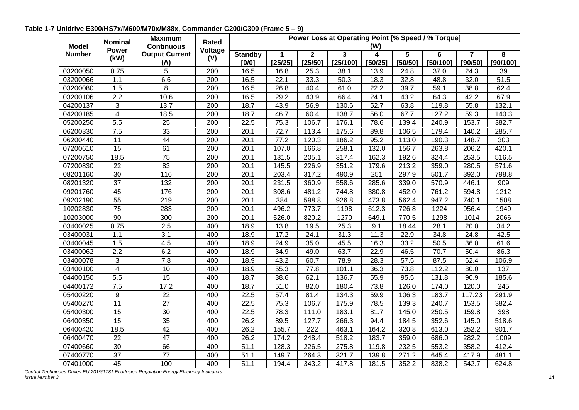<span id="page-14-0"></span>

| <b>Model</b>  | <b>Nominal</b>  | <b>Maximum</b><br><b>Continuous</b> | Rated   | Power Loss at Operating Point [% Speed / % Torque]<br>(W) |              |              |                         |              |         |               |                           |               |  |
|---------------|-----------------|-------------------------------------|---------|-----------------------------------------------------------|--------------|--------------|-------------------------|--------------|---------|---------------|---------------------------|---------------|--|
|               | <b>Power</b>    | <b>Output Current</b>               | Voltage |                                                           |              | $\mathbf{2}$ | $\overline{\mathbf{3}}$ |              | 5       |               |                           |               |  |
| <b>Number</b> | (kW)            | (A)                                 | (V)     | <b>Standby</b><br>[0/0]                                   | 1<br>[25/25] | [25/50]      | [25/100]                | 4<br>[50/25] | [50/50] | 6<br>[50/100] | $\overline{7}$<br>[90/50] | 8<br>[90/100] |  |
| 03200050      | 0.75            | 5                                   | 200     | 16.5                                                      | 16.8         | 25.3         | 38.1                    | 13.9         | 24.8    | 37.0          | 24.3                      | 39            |  |
| 03200066      | 1.1             | 6.6                                 | 200     | 16.5                                                      | 22.1         | 33.3         | 50.3                    | 18.3         | 32.8    | 48.8          | 32.0                      | 51.5          |  |
| 03200080      | 1.5             | 8                                   | 200     | 16.5                                                      | 26.8         | 40.4         | 61.0                    | 22.2         | 39.7    | 59.1          | 38.8                      | 62.4          |  |
| 03200106      | 2.2             | 10.6                                | 200     | 16.5                                                      | 29.2         | 43.9         | 66.4                    | 24.1         | 43.2    | 64.3          | 42.2                      | 67.9          |  |
| 04200137      | 3               | 13.7                                | 200     | 18.7                                                      | 43.9         | 56.9         | 130.6                   | 52.7         | 63.8    | 119.8         | 55.8                      | 132.1         |  |
| 04200185      | $\overline{4}$  | 18.5                                | 200     | 18.7                                                      | 46.7         | 60.4         | 138.7                   | 56.0         | 67.7    | 127.2         | 59.3                      | 140.3         |  |
| 05200250      | 5.5             | $\overline{25}$                     | 200     | 22.5                                                      | 75.3         | 106.7        | 176.1                   | 78.6         | 139.4   | 240.9         | 153.7                     | 382.7         |  |
| 06200330      | 7.5             | 33                                  | 200     | 20.1                                                      | 72.7         | 113.4        | 175.6                   | 89.8         | 106.5   | 179.4         | 140.2                     | 285.7         |  |
| 06200440      | 11              | 44                                  | 200     | 20.1                                                      | 77.2         | 120.3        | 186.2                   | 95.2         | 113.0   | 190.3         | 148.7                     | 303           |  |
| 07200610      | 15              | 61                                  | 200     | 20.1                                                      | 107.0        | 166.8        | 258.1                   | 132.0        | 156.7   | 263.8         | 206.2                     | 420.1         |  |
| 07200750      | 18.5            | 75                                  | 200     | 20.1                                                      | 131.5        | 205.1        | 317.4                   | 162.3        | 192.6   | 324.4         | 253.5                     | 516.5         |  |
| 07200830      | 22              | 83                                  | 200     | 20.1                                                      | 145.5        | 226.9        | 351.2                   | 179.6        | 213.2   | 359.0         | 280.5                     | 571.6         |  |
| 08201160      | 30              | 116                                 | 200     | 20.1                                                      | 203.4        | 317.2        | 490.9                   | 251          | 297.9   | 501.7         | 392.0                     | 798.8         |  |
| 08201320      | 37              | 132                                 | 200     | 20.1                                                      | 231.5        | 360.9        | 558.6                   | 285.6        | 339.0   | 570.9         | 446.1                     | 909           |  |
| 09201760      | 45              | 176                                 | 200     | 20.1                                                      | 308.6        | 481.2        | 744.8                   | 380.8        | 452.0   | 761.2         | 594.8                     | 1212          |  |
| 09202190      | 55              | 219                                 | 200     | 20.1                                                      | 384          | 598.8        | 926.8                   | 473.8        | 562.4   | 947.2         | 740.1                     | 1508          |  |
| 10202830      | $\overline{75}$ | 283                                 | 200     | 20.1                                                      | 496.2        | 773.7        | 1198                    | 612.3        | 726.8   | 1224          | 956.4                     | 1949          |  |
| 10203000      | 90              | 300                                 | 200     | 20.1                                                      | 526.0        | 820.2        | 1270                    | 649.1        | 770.5   | 1298          | 1014                      | 2066          |  |
| 03400025      | 0.75            | $\overline{2.5}$                    | 400     | 18.9                                                      | 13.8         | 19.5         | 25.3                    | 9.1          | 18.44   | 28.1          | 20.0                      | 34.2          |  |
| 03400031      | 1.1             | 3.1                                 | 400     | 18.9                                                      | 17.2         | 24.1         | 31.3                    | 11.3         | 22.9    | 34.8          | 24.8                      | 42.5          |  |
| 03400045      | 1.5             | 4.5                                 | 400     | 18.9                                                      | 24.9         | 35.0         | 45.5                    | 16.3         | 33.2    | 50.5          | 36.0                      | 61.6          |  |
| 03400062      | 2.2             | 6.2                                 | 400     | 18.9                                                      | 34.9         | 49.0         | 63.7                    | 22.9         | 46.5    | 70.7          | 50.4                      | 86.3          |  |
| 03400078      | 3               | $\overline{7.8}$                    | 400     | 18.9                                                      | 43.2         | 60.7         | 78.9                    | 28.3         | 57.5    | 87.5          | 62.4                      | 106.9         |  |
| 03400100      | $\overline{4}$  | 10                                  | 400     | 18.9                                                      | 55.3         | 77.8         | 101.1                   | 36.3         | 73.8    | 112.2         | 80.0                      | 137           |  |
| 04400150      | 5.5             | $\overline{15}$                     | 400     | 18.7                                                      | 38.6         | 62.1         | 136.7                   | 55.9         | 95.5    | 131.8         | 90.9                      | 185.6         |  |
| 04400172      | 7.5             | 17.2                                | 400     | 18.7                                                      | 51.0         | 82.0         | 180.4                   | 73.8         | 126.0   | 174.0         | 120.0                     | 245           |  |
| 05400220      | 9               | 22                                  | 400     | 22.5                                                      | 57.4         | 81.4         | 134.3                   | 59.9         | 106.3   | 183.7         | 117.23                    | 291.9         |  |
| 05400270      | 11              | 27                                  | 400     | 22.5                                                      | 75.3         | 106.7        | 175.9                   | 78.5         | 139.3   | 240.7         | 153.5                     | 382.4         |  |
| 05400300      | 15              | 30                                  | 400     | 22.5                                                      | 78.3         | 111.0        | 183.1                   | 81.7         | 145.0   | 250.5         | 159.8                     | 398           |  |
| 06400350      | 15              | 35                                  | 400     | 26.2                                                      | 89.5         | 127.7        | 266.3                   | 94.4         | 184.5   | 352.6         | 145.0                     | 518.6         |  |
| 06400420      | 18.5            | 42                                  | 400     | 26.2                                                      | 155.7        | 222          | 463.1                   | 164.2        | 320.8   | 613.0         | 252.2                     | 901.7         |  |
| 06400470      | 22              | $\overline{47}$                     | 400     | 26.2                                                      | 174.2        | 248.4        | 518.2                   | 183.7        | 359.0   | 686.0         | 282.2                     | 1009          |  |
| 07400660      | 30              | 66                                  | 400     | 51.1                                                      | 128.3        | 226.5        | 275.8                   | 119.8        | 232.5   | 553.2         | 358.2                     | 412.4         |  |
| 07400770      | $\overline{37}$ | $\overline{77}$                     | 400     | 51.1                                                      | 149.7        | 264.3        | 321.7                   | 139.8        | 271.2   | 645.4         | 417.9                     | 481.1         |  |
| 07401000      | $\overline{45}$ | 100                                 | 400     | 51.1                                                      | 194.4        | 343.2        | 417.8                   | 181.5        | 352.2   | 838.2         | 542.7                     | 624.8         |  |

**Table 1-7 Unidrive E300/HS7x/M600/M70x/M88x, Commander C200/C300 (Frame 5 – 9)**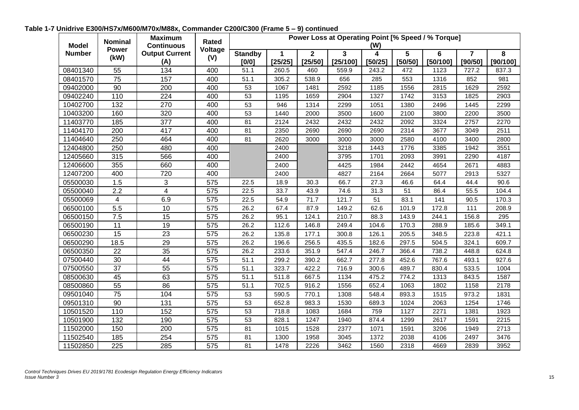| <b>Model</b>  | <b>Nominal</b>  | <b>Maximum</b><br><b>Continuous</b><br>Power | Rated            |                           |              |                                    | Power Loss at Operating Point [% Speed / % Torque] | (W)          |              |               |                           |               |
|---------------|-----------------|----------------------------------------------|------------------|---------------------------|--------------|------------------------------------|----------------------------------------------------|--------------|--------------|---------------|---------------------------|---------------|
| <b>Number</b> | (kW)            | <b>Output Current</b><br>(A)                 | Voltage<br>(V)   | <b>Standby</b><br>$[0/0]$ | 1<br>[25/25] | $\overline{\mathbf{2}}$<br>[25/50] | 3<br>[25/100]                                      | 4<br>[50/25] | 5<br>[50/50] | 6<br>[50/100] | $\overline{7}$<br>[90/50] | 8<br>[90/100] |
| 08401340      | 55              | 134                                          | 400              | 51.1                      | 260.5        | 460                                | 559.9                                              | 243.2        | 472          | 1123          | 727.2                     | 837.3         |
| 08401570      | 75              | 157                                          | 400              | 51.1                      | 305.2        | 538.9                              | 656                                                | 285          | 553          | 1316          | 852                       | 981           |
| 09402000      | 90              | 200                                          | 400              | 53                        | 1067         | 1481                               | 2592                                               | 1185         | 1556         | 2815          | 1629                      | 2592          |
| 09402240      | 110             | 224                                          | 400              | 53                        | 1195         | 1659                               | 2904                                               | 1327         | 1742         | 3153          | 1825                      | 2903          |
| 10402700      | 132             | 270                                          | 400              | 53                        | 946          | 1314                               | 2299                                               | 1051         | 1380         | 2496          | 1445                      | 2299          |
| 10403200      | 160             | 320                                          | 400              | 53                        | 1440         | 2000                               | 3500                                               | 1600         | 2100         | 3800          | 2200                      | 3500          |
| 11403770      | 185             | 377                                          | 400              | 81                        | 2124         | 2432                               | 2432                                               | 2432         | 2092         | 3324          | 2757                      | 2270          |
| 11404170      | 200             | 417                                          | 400              | 81                        | 2350         | 2690                               | 2690                                               | 2690         | 2314         | 3677          | 3049                      | 2511          |
| 11404640      | 250             | 464                                          | 400              | 81                        | 2620         | 3000                               | 3000                                               | 3000         | 2580         | 4100          | 3400                      | 2800          |
| 12404800      | 250             | 480                                          | 400              |                           | 2400         |                                    | 3218                                               | 1443         | 1776         | 3385          | 1942                      | 3551          |
| 12405660      | 315             | 566                                          | 400              |                           | 2400         |                                    | 3795                                               | 1701         | 2093         | 3991          | 2290                      | 4187          |
| 12406600      | 355             | 660                                          | 400              |                           | 2400         |                                    | 4425                                               | 1984         | 2442         | 4654          | 2671                      | 4883          |
| 12407200      | 400             | 720                                          | 400              |                           | 2400         |                                    | 4827                                               | 2164         | 2664         | 5077          | 2913                      | 5327          |
| 05500030      | 1.5             | 3                                            | 575              | 22.5                      | 18.9         | 30.3                               | 66.7                                               | 27.3         | 46.6         | 64.4          | 44.4                      | 90.6          |
| 05500040      | 2.2             | 4                                            | 575              | 22.5                      | 33.7         | 43.9                               | 74.6                                               | 31.3         | 51           | 86.4          | 55.5                      | 104.4         |
| 05500069      | $\overline{4}$  | 6.9                                          | 575              | 22.5                      | 54.9         | 71.7                               | 121.7                                              | 51           | 83.1         | 141           | 90.5                      | 170.3         |
| 06500100      | 5.5             | 10                                           | 575              | 26.2                      | 67.4         | 87.9                               | 149.2                                              | 62.6         | 101.9        | 172.8         | 111                       | 208.9         |
| 06500150      | 7.5             | 15                                           | 575              | 26.2                      | 95.1         | 124.1                              | 210.7                                              | 88.3         | 143.9        | 244.1         | 156.8                     | 295           |
| 06500190      | 11              | 19                                           | 575              | 26.2                      | 112.6        | 146.8                              | 249.4                                              | 104.6        | 170.3        | 288.9         | 185.6                     | 349.1         |
| 06500230      | 15              | 23                                           | 575              | 26.2                      | 135.8        | 177.1                              | 300.8                                              | 126.1        | 205.5        | 348.5         | 223.8                     | 421.1         |
| 06500290      | 18.5            | 29                                           | 575              | 26.2                      | 196.6        | 256.5                              | 435.5                                              | 182.6        | 297.5        | 504.5         | 324.1                     | 609.7         |
| 06500350      | 22              | 35                                           | 575              | 26.2                      | 233.6        | 351.9                              | 547.4                                              | 246.7        | 366.4        | 738.2         | 448.8                     | 624.8         |
| 07500440      | 30              | 44                                           | 575              | 51.1                      | 299.2        | 390.2                              | 662.7                                              | 277.8        | 452.6        | 767.6         | 493.1                     | 927.6         |
| 07500550      | $\overline{37}$ | 55                                           | 575              | 51.1                      | 323.7        | 422.2                              | 716.9                                              | 300.6        | 489.7        | 830.4         | 533.5                     | 1004          |
| 08500630      | 45              | 63                                           | 575              | 51.1                      | 511.8        | 667.5                              | 1134                                               | 475.2        | 774.2        | 1313          | 843.5                     | 1587          |
| 08500860      | 55              | 86                                           | 575              | 51.1                      | 702.5        | 916.2                              | 1556                                               | 652.4        | 1063         | 1802          | 1158                      | 2178          |
| 09501040      | 75              | 104                                          | 575              | 53                        | 590.5        | 770.1                              | 1308                                               | 548.4        | 893.3        | 1515          | 973.2                     | 1831          |
| 09501310      | 90              | 131                                          | 575              | 53                        | 652.8        | 983.3                              | 1530                                               | 689.3        | 1024         | 2063          | 1254                      | 1746          |
| 10501520      | 110             | 152                                          | $\overline{575}$ | 53                        | 718.8        | 1083                               | 1684                                               | 759          | 1127         | 2271          | 1381                      | 1923          |
| 10501900      | 132             | 190                                          | 575              | 53                        | 828.1        | 1247                               | 1940                                               | 874.4        | 1299         | 2617          | 1591                      | 2215          |
| 11502000      | 150             | 200                                          | 575              | 81                        | 1015         | 1528                               | 2377                                               | 1071         | 1591         | 3206          | 1949                      | 2713          |
| 11502540      | 185             | 254                                          | 575              | 81                        | 1300         | 1958                               | 3045                                               | 1372         | 2038         | 4106          | 2497                      | 3476          |
| 11502850      | 225             | 285                                          | 575              | 81                        | 1478         | 2226                               | 3462                                               | 1560         | 2318         | 4669          | 2839                      | 3952          |

**Table 1-7 Unidrive E300/HS7x/M600/M70x/M88x, Commander C200/C300 (Frame 5 – 9) continued**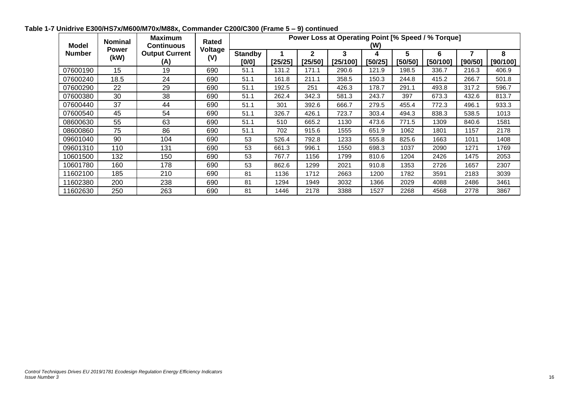| <b>Model</b>  | <b>Nominal</b><br><b>Power</b> | <b>Maximum</b><br><b>Continuous</b> | Rated<br>Voltage | Power Loss at Operating Point [% Speed / % Torque]<br>(W) |         |              |               |              |              |               |         |               |  |
|---------------|--------------------------------|-------------------------------------|------------------|-----------------------------------------------------------|---------|--------------|---------------|--------------|--------------|---------------|---------|---------------|--|
| <b>Number</b> | (kW)                           | <b>Output Current</b><br>(A)        | (V)              | <b>Standby</b><br>[0/0]                                   | [25/25] | 2<br>[25/50] | 3<br>[25/100] | 4<br>[50/25] | 5<br>[50/50] | 6<br>[50/100] | [90/50] | 8<br>[90/100] |  |
| 07600190      | 15                             | 19                                  | 690              | 51.1                                                      | 131.2   | 171.1        | 290.6         | 121.9        | 198.5        | 336.7         | 216.3   | 406.9         |  |
| 07600240      | 18.5                           | 24                                  | 690              | 51.1                                                      | 161.8   | 211.1        | 358.5         | 150.3        | 244.8        | 415.2         | 266.7   | 501.8         |  |
| 07600290      | 22                             | 29                                  | 690              | 51.1                                                      | 192.5   | 251          | 426.3         | 178.7        | 291.1        | 493.8         | 317.2   | 596.7         |  |
| 07600380      | 30                             | 38                                  | 690              | 51.1                                                      | 262.4   | 342.3        | 581.3         | 243.7        | 397          | 673.3         | 432.6   | 813.7         |  |
| 07600440      | 37                             | 44                                  | 690              | 51.1                                                      | 301     | 392.6        | 666.7         | 279.5        | 455.4        | 772.3         | 496.1   | 933.3         |  |
| 07600540      | 45                             | 54                                  | 690              | 51.1                                                      | 326.7   | 426.1        | 723.7         | 303.4        | 494.3        | 838.3         | 538.5   | 1013          |  |
| 08600630      | 55                             | 63                                  | 690              | 51.1                                                      | 510     | 665.2        | 1130          | 473.6        | 771.5        | 1309          | 840.6   | 1581          |  |
| 08600860      | 75                             | 86                                  | 690              | 51.1                                                      | 702     | 915.6        | 1555          | 651.9        | 1062         | 1801          | 1157    | 2178          |  |
| 09601040      | 90                             | 104                                 | 690              | 53                                                        | 526.4   | 792.8        | 1233          | 555.8        | 825.6        | 1663          | 1011    | 1408          |  |
| 09601310      | 110                            | 131                                 | 690              | 53                                                        | 661.3   | 996.1        | 1550          | 698.3        | 1037         | 2090          | 1271    | 1769          |  |
| 10601500      | 132                            | 150                                 | 690              | 53                                                        | 767.7   | 1156         | 1799          | 810.6        | 1204         | 2426          | 1475    | 2053          |  |
| 10601780      | 160                            | 178                                 | 690              | 53                                                        | 862.6   | 1299         | 2021          | 910.8        | 1353         | 2726          | 1657    | 2307          |  |
| 11602100      | 185                            | 210                                 | 690              | 81                                                        | 1136    | 1712         | 2663          | 1200         | 1782         | 3591          | 2183    | 3039          |  |
| 11602380      | 200                            | 238                                 | 690              | 81                                                        | 1294    | 1949         | 3032          | 1366         | 2029         | 4088          | 2486    | 3461          |  |
| 11602630      | 250                            | 263                                 | 690              | 81                                                        | 1446    | 2178         | 3388          | 1527         | 2268         | 4568          | 2778    | 3867          |  |

**Table 1-7 Unidrive E300/HS7x/M600/M70x/M88x, Commander C200/C300 (Frame 5 – 9) continued**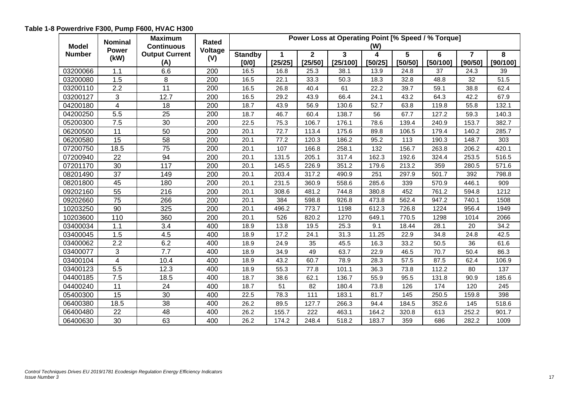<span id="page-17-0"></span>

| <b>Model</b>  | <b>Nominal</b>       | <b>Maximum</b><br>Rated<br><b>Continuous</b> |         | Power Loss at Operating Point [% Speed / % Torque]<br>(W) |         |              |          |         |         |          |                |          |  |  |
|---------------|----------------------|----------------------------------------------|---------|-----------------------------------------------------------|---------|--------------|----------|---------|---------|----------|----------------|----------|--|--|
| <b>Number</b> | <b>Power</b><br>(kW) | <b>Output Current</b>                        | Voltage | <b>Standby</b>                                            | 1       | $\mathbf{2}$ | 3        | 4       | 5       | 6        | $\overline{7}$ | 8        |  |  |
|               |                      | (A)                                          | (V)     | [0/0]                                                     | [25/25] | [25/50]      | [25/100] | [50/25] | [50/50] | [50/100] | [90/50]        | [90/100] |  |  |
| 03200066      | 1.1                  | 6.6                                          | 200     | 16.5                                                      | 16.8    | 25.3         | 38.1     | 13.9    | 24.8    | 37       | 24.3           | 39       |  |  |
| 03200080      | 1.5                  | 8                                            | 200     | 16.5                                                      | 22.1    | 33.3         | 50.3     | 18.3    | 32.8    | 48.8     | 32             | 51.5     |  |  |
| 03200110      | 2.2                  | 11                                           | 200     | 16.5                                                      | 26.8    | 40.4         | 61       | 22.2    | 39.7    | 59.1     | 38.8           | 62.4     |  |  |
| 03200127      | 3                    | 12.7                                         | 200     | 16.5                                                      | 29.2    | 43.9         | 66.4     | 24.1    | 43.2    | 64.3     | 42.2           | 67.9     |  |  |
| 04200180      | 4                    | 18                                           | 200     | 18.7                                                      | 43.9    | 56.9         | 130.6    | 52.7    | 63.8    | 119.8    | 55.8           | 132.1    |  |  |
| 04200250      | 5.5                  | 25                                           | 200     | 18.7                                                      | 46.7    | 60.4         | 138.7    | 56      | 67.7    | 127.2    | 59.3           | 140.3    |  |  |
| 05200300      | 7.5                  | 30                                           | 200     | 22.5                                                      | 75.3    | 106.7        | 176.1    | 78.6    | 139.4   | 240.9    | 153.7          | 382.7    |  |  |
| 06200500      | 11                   | 50                                           | 200     | 20.1                                                      | 72.7    | 113.4        | 175.6    | 89.8    | 106.5   | 179.4    | 140.2          | 285.7    |  |  |
| 06200580      | 15                   | 58                                           | 200     | 20.1                                                      | 77.2    | 120.3        | 186.2    | 95.2    | 113     | 190.3    | 148.7          | 303      |  |  |
| 07200750      | 18.5                 | 75                                           | 200     | 20.1                                                      | 107     | 166.8        | 258.1    | 132     | 156.7   | 263.8    | 206.2          | 420.1    |  |  |
| 07200940      | 22                   | 94                                           | 200     | 20.1                                                      | 131.5   | 205.1        | 317.4    | 162.3   | 192.6   | 324.4    | 253.5          | 516.5    |  |  |
| 07201170      | 30                   | 117                                          | 200     | 20.1                                                      | 145.5   | 226.9        | 351.2    | 179.6   | 213.2   | 359      | 280.5          | 571.6    |  |  |
| 08201490      | 37                   | 149                                          | 200     | 20.1                                                      | 203.4   | 317.2        | 490.9    | 251     | 297.9   | 501.7    | 392            | 798.8    |  |  |
| 08201800      | 45                   | 180                                          | 200     | 20.1                                                      | 231.5   | 360.9        | 558.6    | 285.6   | 339     | 570.9    | 446.1          | 909      |  |  |
| 09202160      | 55                   | 216                                          | 200     | 20.1                                                      | 308.6   | 481.2        | 744.8    | 380.8   | 452     | 761.2    | 594.8          | 1212     |  |  |
| 09202660      | 75                   | 266                                          | 200     | 20.1                                                      | 384     | 598.8        | 926.8    | 473.8   | 562.4   | 947.2    | 740.1          | 1508     |  |  |
| 10203250      | $\overline{90}$      | 325                                          | 200     | 20.1                                                      | 496.2   | 773.7        | 1198     | 612.3   | 726.8   | 1224     | 956.4          | 1949     |  |  |
| 10203600      | 110                  | 360                                          | 200     | 20.1                                                      | 526     | 820.2        | 1270     | 649.1   | 770.5   | 1298     | 1014           | 2066     |  |  |
| 03400034      | 1.1                  | 3.4                                          | 400     | 18.9                                                      | 13.8    | 19.5         | 25.3     | 9.1     | 18.44   | 28.1     | 20             | 34.2     |  |  |
| 03400045      | 1.5                  | 4.5                                          | 400     | 18.9                                                      | 17.2    | 24.1         | 31.3     | 11.25   | 22.9    | 34.8     | 24.8           | 42.5     |  |  |
| 03400062      | 2.2                  | 6.2                                          | 400     | 18.9                                                      | 24.9    | 35           | 45.5     | 16.3    | 33.2    | 50.5     | 36             | 61.6     |  |  |
| 03400077      | 3                    | 7.7                                          | 400     | 18.9                                                      | 34.9    | 49           | 63.7     | 22.9    | 46.5    | 70.7     | 50.4           | 86.3     |  |  |
| 03400104      | 4                    | 10.4                                         | 400     | 18.9                                                      | 43.2    | 60.7         | 78.9     | 28.3    | 57.5    | 87.5     | 62.4           | 106.9    |  |  |
| 03400123      | 5.5                  | 12.3                                         | 400     | 18.9                                                      | 55.3    | 77.8         | 101.1    | 36.3    | 73.8    | 112.2    | 80             | 137      |  |  |
| 04400185      | $\overline{7.5}$     | 18.5                                         | 400     | 18.7                                                      | 38.6    | 62.1         | 136.7    | 55.9    | 95.5    | 131.8    | 90.9           | 185.6    |  |  |
| 04400240      | 11                   | 24                                           | 400     | 18.7                                                      | 51      | 82           | 180.4    | 73.8    | 126     | 174      | 120            | 245      |  |  |
| 05400300      | 15                   | 30                                           | 400     | 22.5                                                      | 78.3    | 111          | 183.1    | 81.7    | 145     | 250.5    | 159.8          | 398      |  |  |
| 06400380      | 18.5                 | 38                                           | 400     | 26.2                                                      | 89.5    | 127.7        | 266.3    | 94.4    | 184.5   | 352.6    | 145            | 518.6    |  |  |
| 06400480      | 22                   | 48                                           | 400     | 26.2                                                      | 155.7   | 222          | 463.1    | 164.2   | 320.8   | 613      | 252.2          | 901.7    |  |  |
| 06400630      | 30                   | 63                                           | 400     | 26.2                                                      | 174.2   | 248.4        | 518.2    | 183.7   | 359     | 686      | 282.2          | 1009     |  |  |

## **Table 1-8 Powerdrive F300, Pump F600, HVAC H300**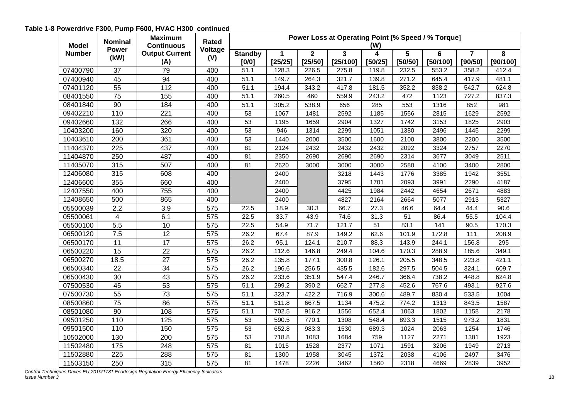## **Table 1-8 Powerdrive F300, Pump F600, HVAC H300 continued**

| <b>Model</b>  | <b>Nominal</b>    | <b>Maximum</b><br><b>Continuous</b> | Rated            | Power Loss at Operating Point [% Speed / % Torque]<br>(W) |             |                |                         |         |         |          |                |          |  |
|---------------|-------------------|-------------------------------------|------------------|-----------------------------------------------------------|-------------|----------------|-------------------------|---------|---------|----------|----------------|----------|--|
| <b>Number</b> | <b>Power</b>      | <b>Output Current</b>               | Voltage          | <b>Standby</b>                                            | $\mathbf 1$ | $\overline{2}$ | $\overline{\mathbf{3}}$ | 4       | 5       | 6        | $\overline{7}$ | 8        |  |
|               | (kW)              | (A)                                 | (V)              | [0/0]                                                     | [25/25]     | [25/50]        | [25/100]                | [50/25] | [50/50] | [50/100] | [90/50]        | [90/100] |  |
| 07400790      | $\overline{37}$   | 79                                  | 400              | 51.1                                                      | 128.3       | 226.5          | 275.8                   | 119.8   | 232.5   | 553.2    | 358.2          | 412.4    |  |
| 07400940      | 45                | 94                                  | 400              | 51.1                                                      | 149.7       | 264.3          | 321.7                   | 139.8   | 271.2   | 645.4    | 417.9          | 481.1    |  |
| 07401120      | 55                | 112                                 | 400              | 51.1                                                      | 194.4       | 343.2          | 417.8                   | 181.5   | 352.2   | 838.2    | 542.7          | 624.8    |  |
| 08401550      | 75                | 155                                 | 400              | 51.1                                                      | 260.5       | 460            | 559.9                   | 243.2   | 472     | 1123     | 727.2          | 837.3    |  |
| 08401840      | 90                | 184                                 | 400              | 51.1                                                      | 305.2       | 538.9          | 656                     | 285     | 553     | 1316     | 852            | 981      |  |
| 09402210      | 110               | 221                                 | 400              | 53                                                        | 1067        | 1481           | 2592                    | 1185    | 1556    | 2815     | 1629           | 2592     |  |
| 09402660      | $\overline{132}$  | 266                                 | 400              | 53                                                        | 1195        | 1659           | 2904                    | 1327    | 1742    | 3153     | 1825           | 2903     |  |
| 10403200      | 160               | 320                                 | 400              | 53                                                        | 946         | 1314           | 2299                    | 1051    | 1380    | 2496     | 1445           | 2299     |  |
| 10403610      | 200               | 361                                 | 400              | 53                                                        | 1440        | 2000           | 3500                    | 1600    | 2100    | 3800     | 2200           | 3500     |  |
| 11404370      | 225               | 437                                 | 400              | 81                                                        | 2124        | 2432           | 2432                    | 2432    | 2092    | 3324     | 2757           | 2270     |  |
| 11404870      | 250               | 487                                 | 400              | 81                                                        | 2350        | 2690           | 2690                    | 2690    | 2314    | 3677     | 3049           | 2511     |  |
| 11405070      | 315               | 507                                 | 400              | 81                                                        | 2620        | 3000           | 3000                    | 3000    | 2580    | 4100     | 3400           | 2800     |  |
| 12406080      | 315               | 608                                 | 400              |                                                           | 2400        |                | 3218                    | 1443    | 1776    | 3385     | 1942           | 3551     |  |
| 12406600      | 355               | 660                                 | 400              |                                                           | 2400        |                | 3795                    | 1701    | 2093    | 3991     | 2290           | 4187     |  |
| 12407550      | 400               | 755                                 | 400              |                                                           | 2400        |                | 4425                    | 1984    | 2442    | 4654     | 2671           | 4883     |  |
| 12408650      | 500               | 865                                 | 400              |                                                           | 2400        |                | 4827                    | 2164    | 2664    | 5077     | 2913           | 5327     |  |
| 05500039      | 2.2               | 3.9                                 | 575              | 22.5                                                      | 18.9        | 30.3           | 66.7                    | 27.3    | 46.6    | 64.4     | 44.4           | 90.6     |  |
| 05500061      | $\overline{4}$    | 6.1                                 | 575              | 22.5                                                      | 33.7        | 43.9           | 74.6                    | 31.3    | 51      | 86.4     | 55.5           | 104.4    |  |
| 05500100      | 5.5               | 10                                  | 575              | 22.5                                                      | 54.9        | 71.7           | 121.7                   | 51      | 83.1    | 141      | 90.5           | 170.3    |  |
| 06500120      | 7.5               | 12                                  | 575              | 26.2                                                      | 67.4        | 87.9           | 149.2                   | 62.6    | 101.9   | 172.8    | 111            | 208.9    |  |
| 06500170      | 11                | $\overline{17}$                     | 575              | 26.2                                                      | 95.1        | 124.1          | 210.7                   | 88.3    | 143.9   | 244.1    | 156.8          | 295      |  |
| 06500220      | 15                | 22                                  | 575              | 26.2                                                      | 112.6       | 146.8          | 249.4                   | 104.6   | 170.3   | 288.9    | 185.6          | 349.1    |  |
| 06500270      | 18.5              | 27                                  | 575              | 26.2                                                      | 135.8       | 177.1          | 300.8                   | 126.1   | 205.5   | 348.5    | 223.8          | 421.1    |  |
| 06500340      | 22                | 34                                  | 575              | 26.2                                                      | 196.6       | 256.5          | 435.5                   | 182.6   | 297.5   | 504.5    | 324.1          | 609.7    |  |
| 06500430      | 30                | 43                                  | 575              | 26.2                                                      | 233.6       | 351.9          | 547.4                   | 246.7   | 366.4   | 738.2    | 448.8          | 624.8    |  |
| 07500530      | 45                | 53                                  | 575              | 51.1                                                      | 299.2       | 390.2          | 662.7                   | 277.8   | 452.6   | 767.6    | 493.1          | 927.6    |  |
| 07500730      | $\overline{55}$   | $\overline{73}$                     | 575              | 51.1                                                      | 323.7       | 422.2          | 716.9                   | 300.6   | 489.7   | 830.4    | 533.5          | 1004     |  |
| 08500860      | 75                | 86                                  | 575              | 51.1                                                      | 511.8       | 667.5          | 1134                    | 475.2   | 774.2   | 1313     | 843.5          | 1587     |  |
| 08501080      | 90                | 108                                 | 575              | 51.1                                                      | 702.5       | 916.2          | 1556                    | 652.4   | 1063    | 1802     | 1158           | 2178     |  |
| 09501250      | 110               | 125                                 | 575              | 53                                                        | 590.5       | 770.1          | 1308                    | 548.4   | 893.3   | 1515     | 973.2          | 1831     |  |
| 09501500      | 110               | 150                                 | 575              | 53                                                        | 652.8       | 983.3          | 1530                    | 689.3   | 1024    | 2063     | 1254           | 1746     |  |
| 10502000      | 130               | 200                                 | 575              | 53                                                        | 718.8       | 1083           | 1684                    | 759     | 1127    | 2271     | 1381           | 1923     |  |
| 11502480      | $\frac{175}{175}$ | 248                                 | 575              | 81                                                        | 1015        | 1528           | 2377                    | 1071    | 1591    | 3206     | 1949           | 2713     |  |
| 11502880      | 225               | 288                                 | 575              | 81                                                        | 1300        | 1958           | 3045                    | 1372    | 2038    | 4106     | 2497           | 3476     |  |
| 11503150      | 250               | 315                                 | $\overline{575}$ | 81                                                        | 1478        | 2226           | 3462                    | 1560    | 2318    | 4669     | 2839           | 3952     |  |